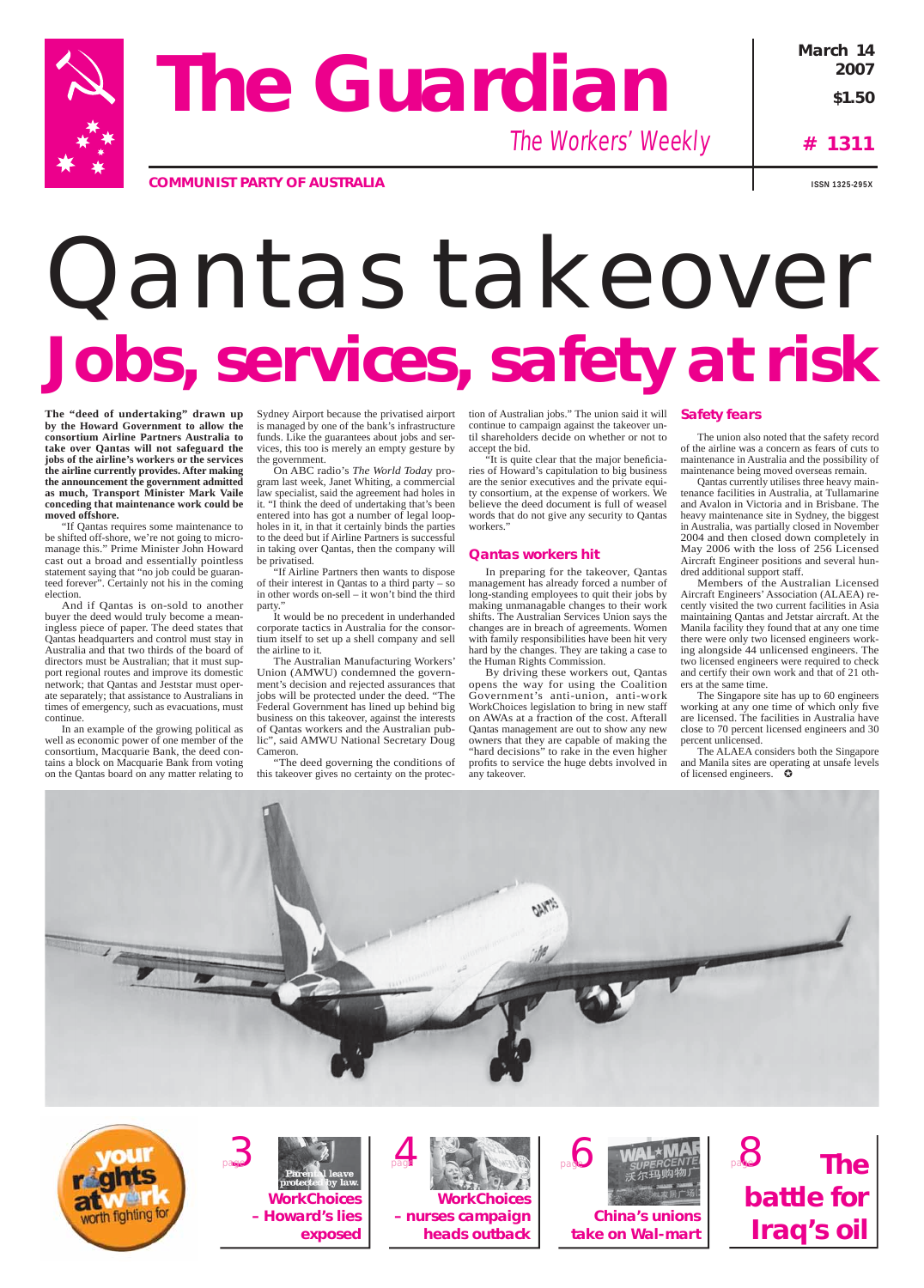**The "deed of undertaking" drawn up by the Howard Government to allow the consortium Airline Partners Australia to take over Qantas will not safeguard the jobs of the airline's workers or the services the airline currently provides. After making the announcement the government admitted as much, Transport Minister Mark Vaile conceding that maintenance work could be moved offshore.**

"If Qantas requires some maintenance to be shifted off-shore, we're not going to micromanage this." Prime Minister John Howard cast out a broad and essentially pointless statement saying that "no job could be guaranteed forever". Certainly not his in the coming election.

And if Qantas is on-sold to another buyer the deed would truly become a meaningless piece of paper. The deed states that Qantas headquarters and control must stay in Australia and that two thirds of the board of directors must be Australian; that it must support regional routes and improve its domestic network; that Qantas and Jeststar must operate separately; that assistance to Australians in times of emergency, such as evacuations, must continue.

In an example of the growing political as well as economic power of one member of the consortium, Macquarie Bank, the deed contains a block on Macquarie Bank from voting on the Qantas board on any matter relating to Sydney Airport because the privatised airport is managed by one of the bank's infrastructure funds. Like the guarantees about jobs and services, this too is merely an empty gesture by the government.

On ABC radio's *The World Toda*y program last week, Janet Whiting, a commercial law specialist, said the agreement had holes in it. "I think the deed of undertaking that's been entered into has got a number of legal loopholes in it, in that it certainly binds the parties to the deed but if Airline Partners is successful in taking over Qantas, then the company will be privatised.

"If Airline Partners then wants to dispose of their interest in Qantas to a third party – so in other words on-sell – it won't bind the third party."

It would be no precedent in underhanded corporate tactics in Australia for the consortium itself to set up a shell company and sell the airline to it.

The Australian Manufacturing Workers' Union (AMWU) condemned the government's decision and rejected assurances that jobs will be protected under the deed. "The Federal Government has lined up behind big business on this takeover, against the interests of Qantas workers and the Australian public", said AMWU National Secretary Doug Cameron.

The ALAEA considers both the Singapore and Manila sites are operating at unsafe levels of licensed engineers.  $\bullet$ 



"The deed governing the conditions of this takeover gives no certainty on the protection of Australian jobs." The union said it will continue to campaign against the takeover until shareholders decide on whether or not to accept the bid.

<sup>th</sup>It is quite clear that the major beneficiaries of Howard's capitulation to big business are the senior executives and the private equity consortium, at the expense of workers. We believe the deed document is full of weasel words that do not give any security to Qantas workers.'

#### **Qantas workers hit**

In preparing for the takeover, Qantas management has already forced a number of long-standing employees to quit their jobs by making unmanagable changes to their work shifts. The Australian Services Union says the changes are in breach of agreements. Women with family responsibilities have been hit very hard by the changes. They are taking a case to the Human Rights Commission.

By driving these workers out, Qantas opens the way for using the Coalition Government's anti-union, anti-work WorkChoices legislation to bring in new staff on AWAs at a fraction of the cost. Afterall Qantas management are out to show any new owners that they are capable of making the "hard decisions" to rake in the even higher profits to service the huge debts involved in any takeover.

#### **Safety fears**

The union also noted that the safety record of the airline was a concern as fears of cuts to maintenance in Australia and the possibility of maintenance being moved overseas remain.

Qantas currently utilises three heavy maintenance facilities in Australia, at Tullamarine and Avalon in Victoria and in Brisbane. The heavy maintenance site in Sydney, the biggest in Australia, was partially closed in November 2004 and then closed down completely in May 2006 with the loss of 256 Licensed Aircraft Engineer positions and several hundred additional support staff.

Members of the Australian Licensed Aircraft Engineers' Association (ALAEA) recently visited the two current facilities in Asia maintaining Qantas and Jetstar aircraft. At the Manila facility they found that at any one time there were only two licensed engineers working alongside 44 unlicensed engineers. The two licensed engineers were required to check and certify their own work and that of 21 others at the same time.

The Singapore site has up to 60 engineers working at any one time of which only five are licensed. The facilities in Australia have close to 70 percent licensed engineers and 30 percent unlicensed.



# *The Guardian*

**The Workers' Weekly**

**COMMUNIST PARTY OF AUSTRALIA ISSN 1325-295X** 

**March 14 2007**

**\$1.50**

**# 1311**



# Qantas takeover **Jobs, services, safety at risk**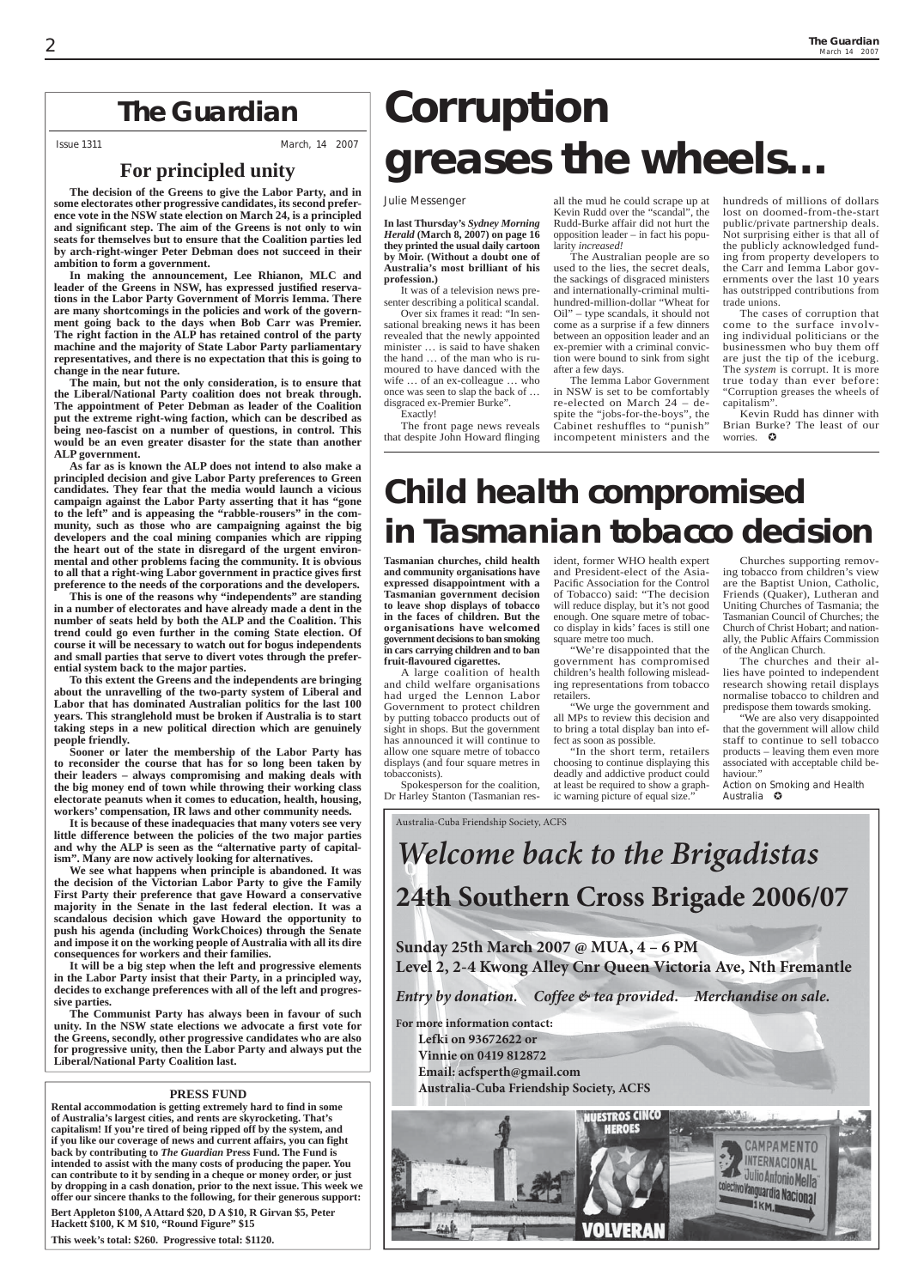### *The Guardian*

Issue 1311 March, 14 2007

#### **For principled unity**

**The decision of the Greens to give the Labor Party, and in some electorates other progressive candidates, its second preference vote in the NSW state election on March 24, is a principled and signifi cant step. The aim of the Greens is not only to win seats for themselves but to ensure that the Coalition parties led by arch-right-winger Peter Debman does not succeed in their ambition to form a government.**

**In making the announcement, Lee Rhianon, MLC and**  leader of the Greens in NSW, has expressed justified reserva**tions in the Labor Party Government of Morris Iemma. There are many shortcomings in the policies and work of the government going back to the days when Bob Carr was Premier. The right faction in the ALP has retained control of the party machine and the majority of State Labor Party parliamentary representatives, and there is no expectation that this is going to change in the near future.**

**The main, but not the only consideration, is to ensure that the Liberal/National Party coalition does not break through. The appointment of Peter Debman as leader of the Coalition put the extreme right-wing faction, which can be described as being neo-fascist on a number of questions, in control. This would be an even greater disaster for the state than another ALP government.**

**As far as is known the ALP does not intend to also make a principled decision and give Labor Party preferences to Green candidates. They fear that the media would launch a vicious campaign against the Labor Party asserting that it has "gone to the left" and is appeasing the "rabble-rousers" in the community, such as those who are campaigning against the big developers and the coal mining companies which are ripping the heart out of the state in disregard of the urgent environmental and other problems facing the community. It is obvious to all that a right-wing Labor government in practice gives fi rst preference to the needs of the corporations and the developers.**

**This is one of the reasons why "independents" are standing in a number of electorates and have already made a dent in the number of seats held by both the ALP and the Coalition. This trend could go even further in the coming State election. Of course it will be necessary to watch out for bogus independents and small parties that serve to divert votes through the preferential system back to the major parties.**

**To this extent the Greens and the independents are bringing about the unravelling of the two-party system of Liberal and Labor that has dominated Australian politics for the last 100 years. This stranglehold must be broken if Australia is to start taking steps in a new political direction which are genuinely people friendly.**

The front page news reveals that despite John Howard flinging

**Sooner or later the membership of the Labor Party has to reconsider the course that has for so long been taken by their leaders – always compromising and making deals with the big money end of town while throwing their working class electorate peanuts when it comes to education, health, housing, workers' compensation, IR laws and other community needs.**

**It is because of these inadequacies that many voters see very little difference between the policies of the two major parties**  and why the ALP is seen as the "alternative party of capital**ism". Many are now actively looking for alternatives.**

Kevin Rudd has dinner with Brian Burke? The least of our worries.  $\bullet$ 

**We see what happens when principle is abandoned. It was the decision of the Victorian Labor Party to give the Family First Party their preference that gave Howard a conservative majority in the Senate in the last federal election. It was a scandalous decision which gave Howard the opportunity to push his agenda (including WorkChoices) through the Senate and impose it on the working people of Australia with all its dire consequences for workers and their families.**

**It will be a big step when the left and progressive elements in the Labor Party insist that their Party, in a principled way, decides to exchange preferences with all of the left and progressive parties.**

"We're disappointed that the government has compromised children's health following misleading representations from tobacco retailers.

**The Communist Party has always been in favour of such**  unity. In the NSW state elections we advocate a first vote for **the Greens, secondly, other progressive candidates who are also for progressive unity, then the Labor Party and always put the Liberal/National Party Coalition last.**

"In the short term, retailers choosing to continue displaying this deadly and addictive product could at least be required to show a graphic warning picture of equal size."

#### **PRESS FUND**

Action on Smoking and Health Australia **C** 

**Rental accommodation is getting extremely hard to find in some of Australia's largest cities, and rents are skyrocketing. That's capitalism! If you're tired of being ripped off by the system, and if you like our coverage of news and current affairs, you can fight back by contributing to** *The Guardian* **Press Fund. The Fund is intended to assist with the many costs of producing the paper. You can contribute to it by sending in a cheque or money order, or just by dropping in a cash donation, prior to the next issue. This week we offer our sincere thanks to the following, for their generous support:**

**Bert Appleton \$100, A Attard \$20, D A \$10, R Girvan \$5, Peter Hackett \$100, K M \$10, "Round Figure" \$15**

**This week's total: \$260. Progressive total: \$1120.**

## **Corruption greases the wheels…**

Julie Messenger

**In last Thursday's** *Sydney Morning Herald* **(March 8, 2007) on page 16 they printed the usual daily cartoon by Moir. (Without a doubt one of Australia's most brilliant of his profession.)**

It was of a television news presenter describing a political scandal.

Over six frames it read: "In sensational breaking news it has been revealed that the newly appointed minister … is said to have shaken the hand … of the man who is rumoured to have danced with the wife … of an ex-colleague … who once was seen to slap the back of … disgraced ex-Premier Burke".

Exactly!

all the mud he could scrape up at Kevin Rudd over the "scandal", the Rudd-Burke affair did not hurt the opposition leader – in fact his popularity *increased!*

The Australian people are so used to the lies, the secret deals, the sackings of disgraced ministers and internationally-criminal multihundred-million-dollar "Wheat for Oil" – type scandals, it should not come as a surprise if a few dinners between an opposition leader and an ex-premier with a criminal conviction were bound to sink from sight after a few days.

The Iemma Labor Government in NSW is set to be comfortably re-elected on March 24 – despite the "jobs-for-the-boys", the Cabinet reshuffles to "punish" incompetent ministers and the hundreds of millions of dollars lost on doomed-from-the-start public/private partnership deals. Not surprising either is that all of the publicly acknowledged funding from property developers to the Carr and Iemma Labor governments over the last 10 years has outstripped contributions from trade unions.

The cases of corruption that come to the surface involving individual politicians or the businessmen who buy them off are just the tip of the iceburg. The *system* is corrupt. It is more true today than ever before: "Corruption greases the wheels of capitalism".

### **Child health compromised in Tasmanian tobacco decision**

**Tasmanian churches, child health and community organisations have expressed disappointment with a Tasmanian government decision to leave shop displays of tobacco in the faces of children. But the organisations have welcomed government decisions to ban smoking in cars carrying children and to ban fruit-fl avoured cigarettes.**

A large coalition of health and child welfare organisations had urged the Lennon Labor Government to protect children by putting tobacco products out of sight in shops. But the government has announced it will continue to allow one square metre of tobacco displays (and four square metres in tobacconists).

Spokesperson for the coalition, Dr Harley Stanton (Tasmanian resident, former WHO health expert and President-elect of the Asia-Pacific Association for the Control of Tobacco) said: "The decision will reduce display, but it's not good enough. One square metre of tobacco display in kids' faces is still one square metre too much.

"We urge the government and all MPs to review this decision and to bring a total display ban into effect as soon as possible.

Churches supporting removing tobacco from children's view are the Baptist Union, Catholic, Friends (Quaker), Lutheran and Uniting Churches of Tasmania; the Tasmanian Council of Churches; the Church of Christ Hobart; and nationally, the Public Affairs Commission of the Anglican Church.

The churches and their allies have pointed to independent research showing retail displays normalise tobacco to children and predispose them towards smoking.

"We are also very disappointed that the government will allow child staff to continue to sell tobacco products – leaving them even more associated with acceptable child behaviour."

Australia-Cuba Friendship Society, ACFS



*Entry by donation. Coffee & tea provided. Merchandise on sale.*

**For more information contact: Lefki on 93672622 or Vinnie on 0419 812872 Email: acfsperth@gmail.com Australia-Cuba Friendship Society, ACFS**

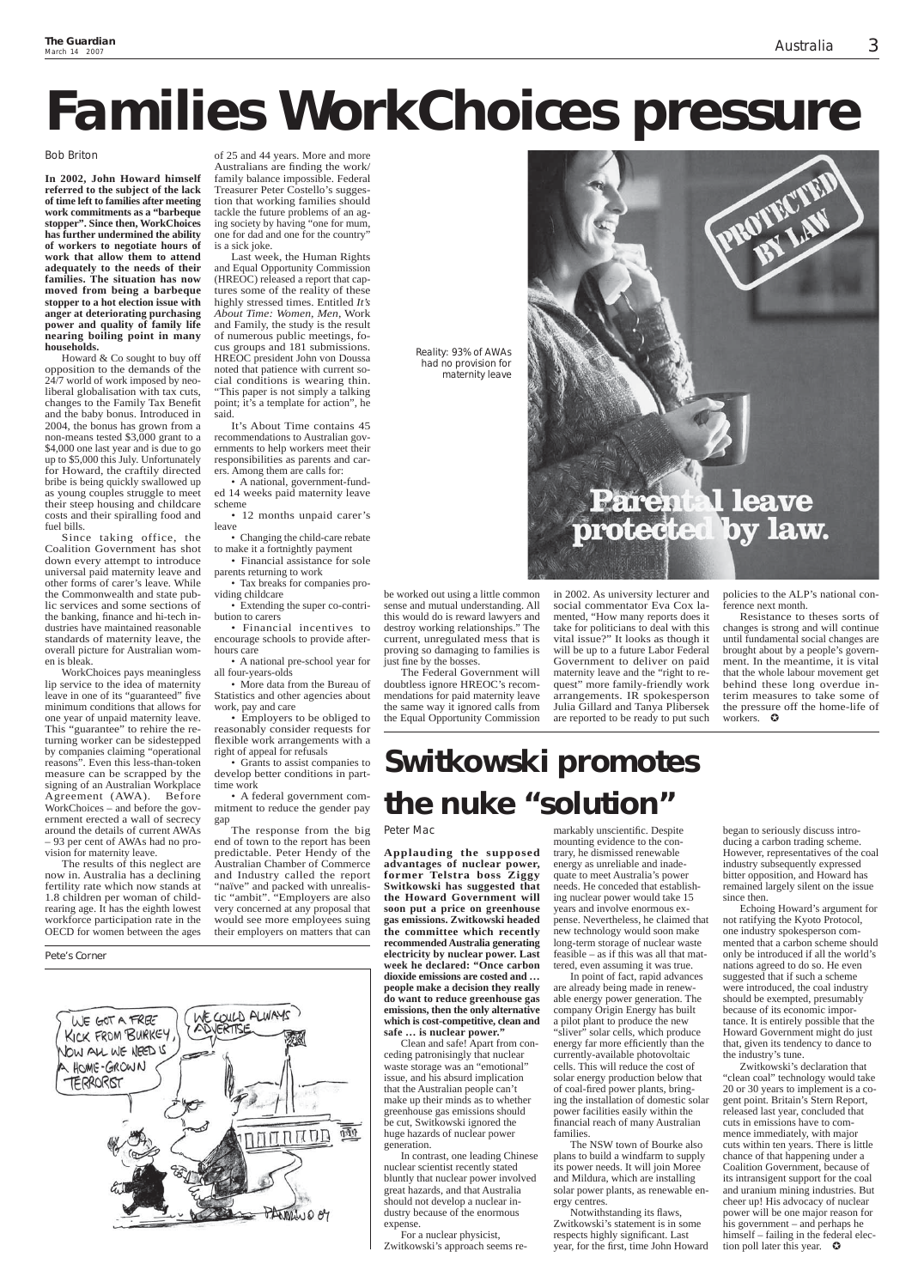Bob Briton

**In 2002, John Howard himself referred to the subject of the lack of time left to families after meeting work commitments as a "barbeque stopper". Since then, WorkChoices has further undermined the ability of workers to negotiate hours of work that allow them to attend adequately to the needs of their families. The situation has now moved from being a barbeque stopper to a hot election issue with anger at deteriorating purchasing power and quality of family life nearing boiling point in many households.**

Howard & Co sought to buy off opposition to the demands of the 24/7 world of work imposed by neoliberal globalisation with tax cuts, changes to the Family Tax Benefit and the baby bonus. Introduced in 2004, the bonus has grown from a non-means tested \$3,000 grant to a \$4,000 one last year and is due to go up to \$5,000 this July. Unfortunately for Howard, the craftily directed bribe is being quickly swallowed up as young couples struggle to meet their steep housing and childcare costs and their spiralling food and fuel bills.

Since taking office, the Coalition Government has shot down every attempt to introduce universal paid maternity leave and other forms of carer's leave. While the Commonwealth and state public services and some sections of the banking, finance and hi-tech industries have maintained reasonable standards of maternity leave, the overall picture for Australian women is bleak.

WorkChoices pays meaningless lip service to the idea of maternity leave in one of its "guaranteed" five minimum conditions that allows for one year of unpaid maternity leave. This "guarantee" to rehire the returning worker can be sidestepped by companies claiming "operational reasons". Even this less-than-token measure can be scrapped by the signing of an Australian Workplace Agreement (AWA). Before WorkChoices – and before the government erected a wall of secrecy around the details of current AWAs – 93 per cent of AWAs had no provision for maternity leave.

The results of this neglect are now in. Australia has a declining fertility rate which now stands at 1.8 children per woman of childrearing age. It has the eighth lowest workforce participation rate in the OECD for women between the ages of 25 and 44 years. More and more Australians are finding the work/ family balance impossible. Federal Treasurer Peter Costello's suggestion that working families should tackle the future problems of an aging society by having "one for mum, one for dad and one for the country" is a sick joke.

> Resistance to theses sorts of changes is strong and will continue until fundamental social changes are brought about by a people's government. In the meantime, it is vital that the whole labour movement get behind these long overdue interim measures to take some of the pressure off the home-life of workers.  $\bullet$



Last week, the Human Rights and Equal Opportunity Commission (HREOC) released a report that captures some of the reality of these highly stressed times. Entitled *It's About Time: Women, Men*, Work and Family, the study is the result of numerous public meetings, focus groups and 181 submissions. HREOC president John von Doussa noted that patience with current social conditions is wearing thin. "This paper is not simply a talking point; it's a template for action", he said.

It's About Time contains 45 recommendations to Australian governments to help workers meet their responsibilities as parents and carers. Among them are calls for:

• A national, government-funded 14 weeks paid maternity leave scheme

• 12 months unpaid carer's leave

• Changing the child-care rebate to make it a fortnightly payment

• Financial assistance for sole parents returning to work • Tax breaks for companies pro-

viding childcare

• Extending the super co-contribution to carers

> markably unscientific. Despite mounting evidence to the contrary, he dismissed renewable energy as unreliable and inadequate to meet Australia's power needs. He conceded that establishing nuclear power would take 15 years and involve enormous expense. Nevertheless, he claimed that new technology would soon make long-term storage of nuclear waste feasible – as if this was all that mattered, even assuming it was true.

• Financial incentives to encourage schools to provide afterhours care

• A national pre-school year for all four-years-olds

• More data from the Bureau of Statistics and other agencies about work, pay and care

• Employers to be obliged to reasonably consider requests for flexible work arrangements with a right of appeal for refusals

• Grants to assist companies to develop better conditions in parttime work

• A federal government commitment to reduce the gender pay gap

> Echoing Howard's argument for not ratifying the Kyoto Protocol, one industry spokesperson commented that a carbon scheme should only be introduced if all the world's nations agreed to do so. He even suggested that if such a scheme were introduced, the coal industry should be exempted, presumably because of its economic importance. It is entirely possible that the Howard Government might do just that, given its tendency to dance to the industry's tune. Zwitkowski's declaration that "clean coal" technology would take 20 or 30 years to implement is a cogent point. Britain's Stern Report, released last year, concluded that cuts in emissions have to commence immediately, with major cuts within ten years. There is little chance of that happening under a Coalition Government, because of its intransigent support for the coal and uranium mining industries. But cheer up! His advocacy of nuclear power will be one major reason for his government – and perhaps he himself – failing in the federal election poll later this year.  $\bullet$

The response from the big end of town to the report has been predictable. Peter Hendy of the Australian Chamber of Commerce and Industry called the report "naïve" and packed with unrealistic "ambit". "Employers are also very concerned at any proposal that would see more employees suing their employers on matters that can

be worked out using a little common sense and mutual understanding. All this would do is reward lawyers and destroy working relationships." The current, unregulated mess that is proving so damaging to families is

The Federal Government will doubtless ignore HREOC's recommendations for paid maternity leave the same way it ignored calls from the Equal Opportunity Commission

just fine by the bosses.



in 2002. As university lecturer and social commentator Eva Cox lamented, "How many reports does it take for politicians to deal with this vital issue?" It looks as though it will be up to a future Labor Federal Government to deliver on paid maternity leave and the "right to request" more family-friendly work arrangements. IR spokesperson Julia Gillard and Tanya Plibersek are reported to be ready to put such policies to the ALP's national conference next month.

### **Switkowski promotes the nuke "solution"**

#### Peter Mac

**Applauding the supposed advantages of nuclear power, former Telstra boss Ziggy Switkowski has suggested that the Howard Government will soon put a price on greenhouse gas emissions. Zwitkowski headed the committee which recently recommended Australia generating electricity by nuclear power. Last week he declared: "Once carbon dioxide emissions are costed and … people make a decision they really do want to reduce greenhouse gas** 

**emissions, then the only alternative which is cost-competitive, clean and safe … is nuclear power."**

Clean and safe! Apart from conceding patronisingly that nuclear waste storage was an "emotional" issue, and his absurd implication that the Australian people can't make up their minds as to whether greenhouse gas emissions should be cut, Switkowski ignored the huge hazards of nuclear power generation.

In contrast, one leading Chinese nuclear scientist recently stated bluntly that nuclear power involved great hazards, and that Australia should not develop a nuclear industry because of the enormous expense.

For a nuclear physicist, Zwitkowski's approach seems re-

In point of fact, rapid advances are already being made in renewable energy power generation. The company Origin Energy has built a pilot plant to produce the new "sliver" solar cells, which produce energy far more efficiently than the currently-available photovoltaic cells. This will reduce the cost of solar energy production below that of coal-fired power plants, bringing the installation of domestic solar power facilities easily within the financial reach of many Australian families.

The NSW town of Bourke also plans to build a windfarm to supply its power needs. It will join Moree and Mildura, which are installing solar power plants, as renewable energy centres.

Notwithstanding its flaws, Zwitkowski's statement is in some respects highly significant. Last year, for the first, time John Howard began to seriously discuss introducing a carbon trading scheme. However, representatives of the coal industry subsequently expressed bitter opposition, and Howard has remained largely silent on the issue since then.

Pete's Corner

## **Families WorkChoices pressure**

Reality: 93% of AWAs had no provision for maternity leave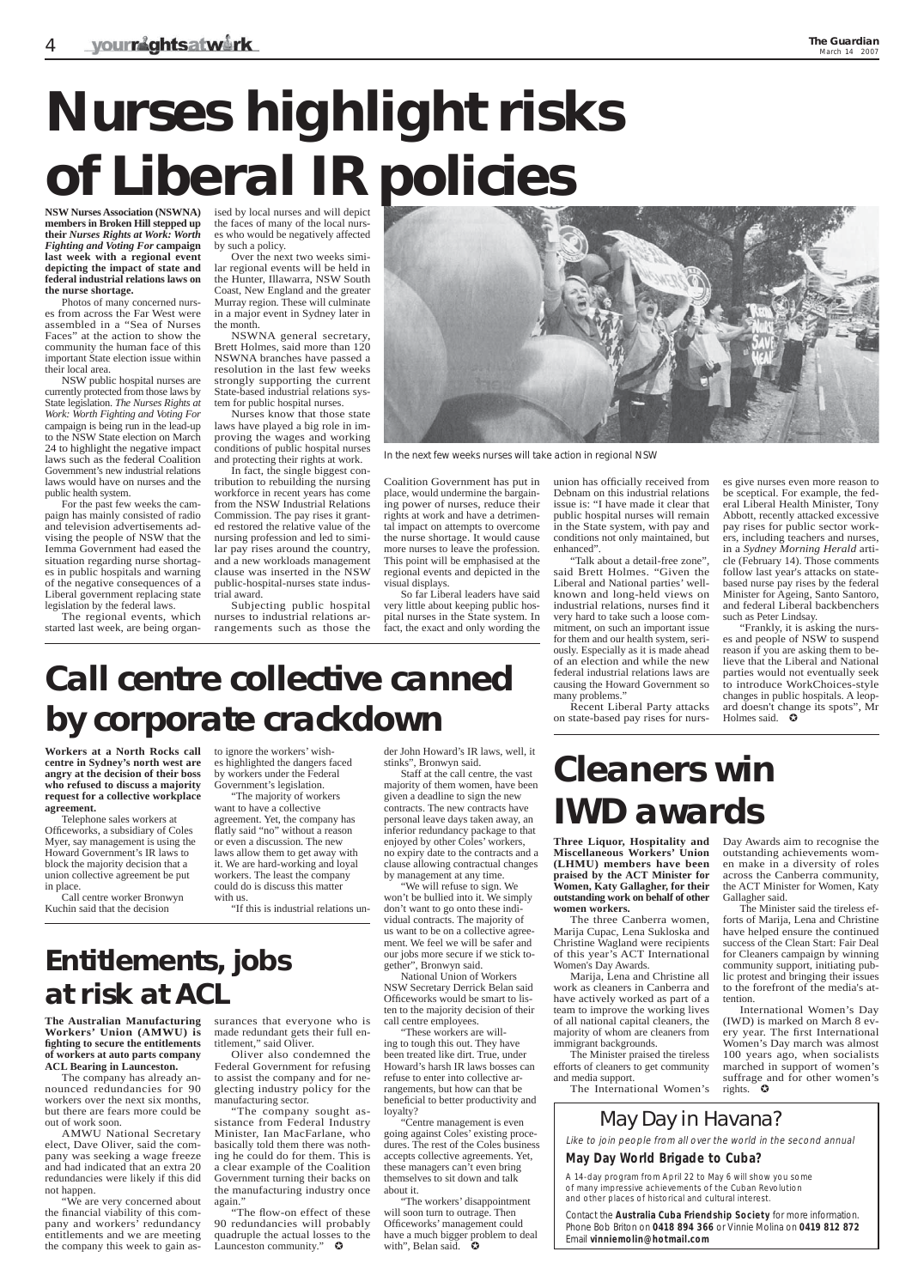**NSW Nurses Association (NSWNA) members in Broken Hill stepped up their** *Nurses Rights at Work: Worth Fighting and Voting For* **campaign last week with a regional event depicting the impact of state and federal industrial relations laws on the nurse shortage.**

Photos of many concerned nurses from across the Far West were assembled in a "Sea of Nurses Faces" at the action to show the community the human face of this important State election issue within their local area.

NSW public hospital nurses are currently protected from those laws by State legislation. *The Nurses Rights at Work: Worth Fighting and Voting For* campaign is being run in the lead-up to the NSW State election on March 24 to highlight the negative impact laws such as the federal Coalition Government's new industrial relations laws would have on nurses and the public health system.

For the past few weeks the campaign has mainly consisted of radio and television advertisements advising the people of NSW that the Iemma Government had eased the situation regarding nurse shortages in public hospitals and warning of the negative consequences of a Liberal government replacing state legislation by the federal laws.

The regional events, which started last week, are being organised by local nurses and will depict the faces of many of the local nurses who would be negatively affected by such a policy.

Over the next two weeks similar regional events will be held in the Hunter, Illawarra, NSW South Coast, New England and the greater Murray region. These will culminate in a major event in Sydney later in the month.

> union has officially received from Debnam on this industrial relations issue is: "I have made it clear that public hospital nurses will remain in the State system, with pay and conditions not only maintained, but enhanced".

> "Talk about a detail-free zone", said Brett Holmes. "Given the Liberal and National parties' wellknown and long-held views on industrial relations, nurses find it very hard to take such a loose commitment, on such an important issue for them and our health system, seriously. Especially as it is made ahead of an election and while the new federal industrial relations laws are causing the Howard Government so many problems.'

NSWNA general secretary, Brett Holmes, said more than 120 NSWNA branches have passed a resolution in the last few weeks strongly supporting the current State-based industrial relations system for public hospital nurses.

Nurses know that those state laws have played a big role in improving the wages and working conditions of public hospital nurses and protecting their rights at work.

> "Frankly, it is asking the nurses and people of NSW to suspend reason if you are asking them to believe that the Liberal and National parties would not eventually seek to introduce WorkChoices-style changes in public hospitals. A leopard doesn't change its spots", Mr Holmes said.  $\bullet$

In fact, the single biggest contribution to rebuilding the nursing workforce in recent years has come from the NSW Industrial Relations Commission. The pay rises it granted restored the relative value of the nursing profession and led to similar pay rises around the country, and a new workloads management clause was inserted in the NSW public-hospital-nurses state industrial award.

Subjecting public hospital nurses to industrial relations arrangements such as those the



Coalition Government has put in place, would undermine the bargaining power of nurses, reduce their rights at work and have a detrimental impact on attempts to overcome the nurse shortage. It would cause more nurses to leave the profession. This point will be emphasised at the regional events and depicted in the visual displays.

So far Liberal leaders have said very little about keeping public hospital nurses in the State system. In fact, the exact and only wording the

"The workers' disappointment will soon turn to outrage. Then Officeworks' management could have a much bigger problem to deal with", Belan said.  $\bullet$ 

Recent Liberal Party attacks on state-based pay rises for nurs-

es give nurses even more reason to be sceptical. For example, the federal Liberal Health Minister, Tony Abbott, recently attacked excessive pay rises for public sector workers, including teachers and nurses, in a *Sydney Morning Herald* article (February 14). Those comments follow last year's attacks on statebased nurse pay rises by the federal Minister for Ageing, Santo Santoro, and federal Liberal backbenchers such as Peter Lindsay.

(IWD) is marked on March 8 every year. The first International Women's Day march was almost 100 years ago, when socialists marched in support of women's suffrage and for other women's rights.  $\bullet$ 

In the next few weeks nurses will take action in regional NSW

### **Call centre collective canned by corporate crackdown**

**Workers at a North Rocks call centre in Sydney's north west are angry at the decision of their boss who refused to discuss a majority request for a collective workplace agreement.**

Telephone sales workers at Officeworks, a subsidiary of Coles Myer, say management is using the Howard Government's IR laws to block the majority decision that a union collective agreement be put in place.

Call centre worker Bronwyn Kuchin said that the decision

to ignore the workers' wishes highlighted the dangers faced by workers under the Federal Government's legislation.

"The majority of workers want to have a collective agreement. Yet, the company has flatly said "no" without a reason or even a discussion. The new laws allow them to get away with it. We are hard-working and loyal workers. The least the company could do is discuss this matter with us.

"If this is industrial relations un-

der John Howard's IR laws, well, it stinks", Bronwyn said.

Staff at the call centre, the vast majority of them women, have been given a deadline to sign the new contracts. The new contracts have personal leave days taken away, an inferior redundancy package to that enjoyed by other Coles' workers, no expiry date to the contracts and a clause allowing contractual changes by management at any time.

"We will refuse to sign. We won't be bullied into it. We simply don't want to go onto these individual contracts. The majority of us want to be on a collective agreement. We feel we will be safer and our jobs more secure if we stick together", Bronwyn said.

National Union of Workers NSW Secretary Derrick Belan said Officeworks would be smart to listen to the majority decision of their call centre employees.

"These workers are willing to tough this out. They have been treated like dirt. True, under Howard's harsh IR laws bosses can refuse to enter into collective arrangements, but how can that be beneficial to better productivity and loyalty?

"Centre management is even going against Coles' existing procedures. The rest of the Coles business accepts collective agreements. Yet, these managers can't even bring themselves to sit down and talk about it.

### **Cleaners win IWD awards**

**Three Liquor, Hospitality and**  Day Awards aim to recognise the **Miscellaneous Workers' Union (LHMU) members have been praised by the ACT Minister for Women, Katy Gallagher, for their outstanding work on behalf of other women workers.**

The three Canberra women, Marija Cupac, Lena Sukloska and Christine Wagland were recipients of this year's ACT International Women's Day Awards.

Marija, Lena and Christine all work as cleaners in Canberra and have actively worked as part of a team to improve the working lives of all national capital cleaners, the majority of whom are cleaners from immigrant backgrounds.

The Minister praised the tireless efforts of cleaners to get community and media support.

The International Women's

outstanding achievements women make in a diversity of roles across the Canberra community, the ACT Minister for Women, Katy Gallagher said.

The Minister said the tireless efforts of Marija, Lena and Christine have helped ensure the continued success of the Clean Start: Fair Deal for Cleaners campaign by winning community support, initiating public protest and bringing their issues to the forefront of the media's attention.

International Women's Day

## **Nurses highlight risks of Liberal IR policies**

#### May Day in Havana?

Like to join people from all over the world in the second annual **May Day World Brigade to Cuba?** 

A 14-day program from April 22 to May 6 will show you some of many impressive achievements of the Cuban Revolution and other places of historical and cultural interest.

Contact the **Australia Cuba Friendship Society** for more information. Phone Bob Briton on **0418 894 366** or Vinnie Molina on **0419 812 872** Email **vinniemolin@hotmail.com**

**Entitlements, jobs** 

**at risk at ACL**

**The Australian Manufacturing Workers' Union (AMWU) is fi ghting to secure the entitlements of workers at auto parts company ACL Bearing in Launceston.**

The company has already announced redundancies for 90 workers over the next six months, but there are fears more could be out of work soon.

AMWU National Secretary elect, Dave Oliver, said the company was seeking a wage freeze and had indicated that an extra 20 redundancies were likely if this did not happen.

"We are very concerned about the financial viability of this company and workers' redundancy entitlements and we are meeting the company this week to gain assurances that everyone who is made redundant gets their full entitlement," said Oliver.

Oliver also condemned the Federal Government for refusing to assist the company and for neglecting industry policy for the manufacturing sector.

"The company sought assistance from Federal Industry Minister, Ian MacFarlane, who basically told them there was nothing he could do for them. This is a clear example of the Coalition Government turning their backs on the manufacturing industry once again."

"The flow-on effect of these 90 redundancies will probably quadruple the actual losses to the Launceston community."  $\bullet$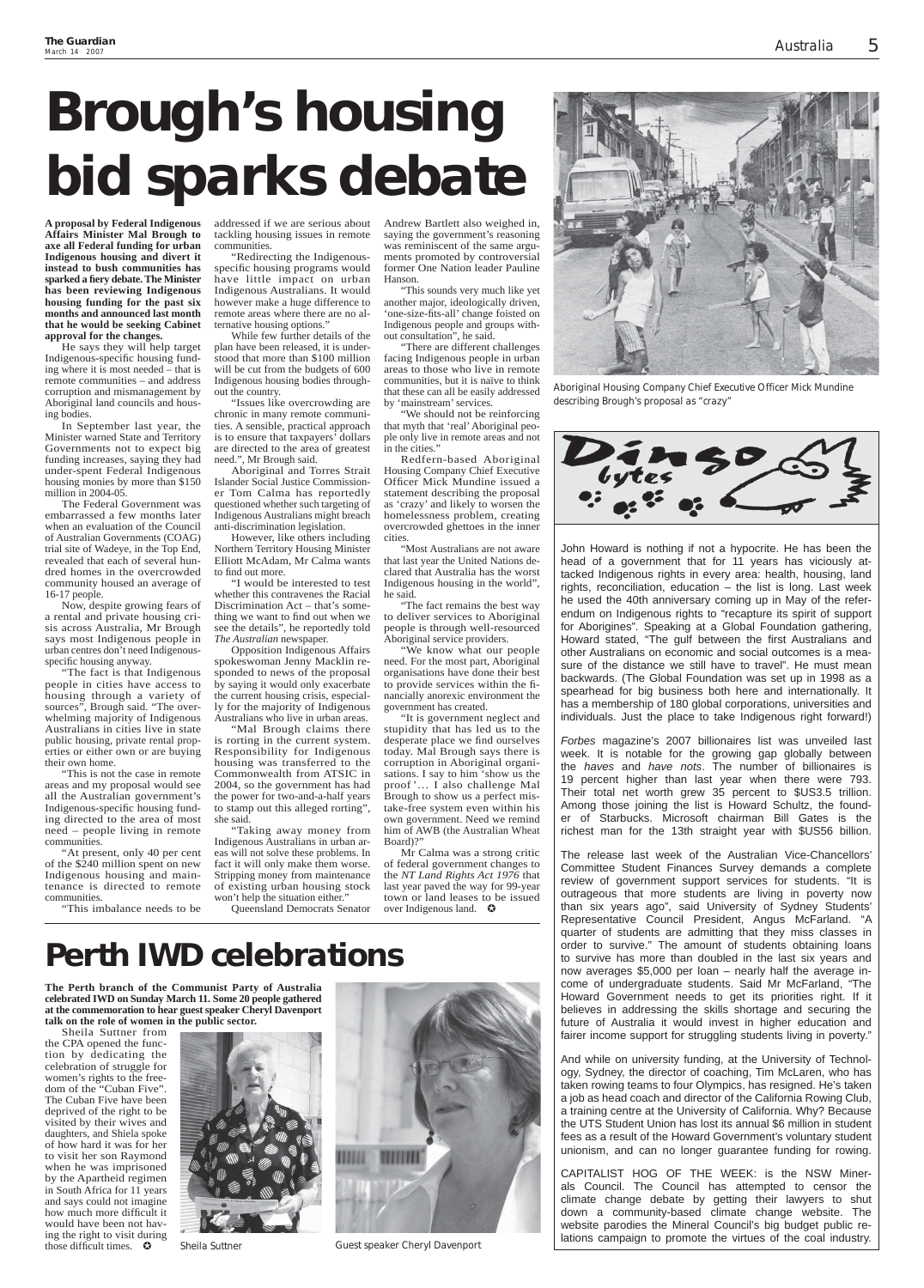**A proposal by Federal Indigenous Affairs Minister Mal Brough to axe all Federal funding for urban Indigenous housing and divert it instead to bush communities has sparked a fi ery debate. The Minister has been reviewing Indigenous housing funding for the past six months and announced last month that he would be seeking Cabinet approval for the changes.**

He says they will help target Indigenous-specific housing funding where it is most needed – that is remote communities – and address corruption and mismanagement by Aboriginal land councils and housing bodies.

Now, despite growing fears of a rental and private housing crisis across Australia, Mr Brough says most Indigenous people in urban centres don't need Indigenousspecific housing anyway.

In September last year, the Minister warned State and Territory Governments not to expect big funding increases, saying they had under-spent Federal Indigenous housing monies by more than \$150 million in 2004-05.

The Federal Government was embarrassed a few months later when an evaluation of the Council of Australian Governments (COAG) trial site of Wadeye, in the Top End, revealed that each of several hundred homes in the overcrowded community housed an average of 16-17 people.

However, like others including Northern Territory Housing Minister Elliott McAdam, Mr Calma wants to find out more.

"The fact is that Indigenous people in cities have access to housing through a variety of sources", Brough said. "The overwhelming majority of Indigenous Australians in cities live in state public housing, private rental properties or either own or are buying their own home.

"This is not the case in remote areas and my proposal would see all the Australian government's Indigenous-specific housing funding directed to the area of most need – people living in remote communities.

"Mal Brough claims there is rorting in the current system. Responsibility for Indigenous housing was transferred to the Commonwealth from ATSIC in 2004, so the government has had the power for two-and-a-half years to stamp out this alleged rorting", she said.

"At present, only 40 per cent of the \$240 million spent on new Indigenous housing and maintenance is directed to remote communities.

"This imbalance needs to be

addressed if we are serious about tackling housing issues in remote communities.

"Redirecting the Indigenousspecific housing programs would have little impact on urban Indigenous Australians. It would however make a huge difference to remote areas where there are no alternative housing options."

While few further details of the plan have been released, it is understood that more than \$100 million will be cut from the budgets of 600 Indigenous housing bodies throughout the country.

"Issues like overcrowding are chronic in many remote communities. A sensible, practical approach is to ensure that taxpayers' dollars are directed to the area of greatest need.", Mr Brough said.

Aboriginal and Torres Strait Islander Social Justice Commissioner Tom Calma has reportedly questioned whether such targeting of Indigenous Australians might breach anti-discrimination legislation.

> Mr Calma was a strong critic of federal government changes to the *NT Land Rights Act 1976* that last year paved the way for 99-year town or land leases to be issued over Indigenous land.  $\bullet$

"I would be interested to test whether this contravenes the Racial Discrimination Act – that's something we want to find out when we see the details", he reportedly told *The Australian* newspaper.

Opposition Indigenous Affairs spokeswoman Jenny Macklin responded to news of the proposal by saying it would only exacerbate the current housing crisis, especially for the majority of Indigenous Australians who live in urban areas.

"Taking away money from Indigenous Australians in urban areas will not solve these problems. In fact it will only make them worse. Stripping money from maintenance of existing urban housing stock won't help the situation either."

Queensland Democrats Senator

Andrew Bartlett also weighed in, saying the government's reasoning was reminiscent of the same arguments promoted by controversial former One Nation leader Pauline Hanson.

"This sounds very much like yet another major, ideologically driven, 'one-size-fits-all' change foisted on Indigenous people and groups without consultation", he said.

"There are different challenges facing Indigenous people in urban areas to those who live in remote communities, but it is naïve to think that these can all be easily addressed by 'mainstream' services.

"We should not be reinforcing that myth that 'real' Aboriginal people only live in remote areas and not in the cities."

the commemoration to hear guest speaker Cheryl Davenpo **talk on the role of women in the public sector.**

Redfern-based Aboriginal Housing Company Chief Executive Officer Mick Mundine issued a statement describing the proposal as 'crazy' and likely to worsen the homelessness problem, creating overcrowded ghettoes in the inner cities.

"Most Australians are not aware that last year the United Nations declared that Australia has the worst Indigenous housing in the world", he said.

"The fact remains the best way to deliver services to Aboriginal people is through well-resourced Aboriginal service providers.

"We know what our people need. For the most part, Aboriginal organisations have done their best to provide services within the financially anorexic environment the government has created.

"It is government neglect and stupidity that has led us to the desperate place we find ourselves today. Mal Brough says there is corruption in Aboriginal organisations. I say to him 'show us the proof '… I also challenge Mal Brough to show us a perfect mistake-free system even within his own government. Need we remind him of AWB (the Australian Wheat Board)?"

John Howard is nothing if not a hypocrite. He has been the head of a government that for 11 years has viciously attacked Indigenous rights in every area: health, housing, land rights, reconciliation, education – the list is long. Last week he used the 40th anniversary coming up in May of the referendum on Indigenous rights to "recapture its spirit of support for Aborigines". Speaking at a Global Foundation gathering, Howard stated, "The gulf between the first Australians and other Australians on economic and social outcomes is a measure of the distance we still have to travel". He must mean backwards. (The Global Foundation was set up in 1998 as a spearhead for big business both here and internationally. It has a membership of 180 global corporations, universities and individuals. Just the place to take Indigenous right forward!)

*Forbes* magazine's 2007 billionaires list was unveiled last week. It is notable for the growing gap globally between the *haves* and *have nots*. The number of billionaires is 19 percent higher than last year when there were 793. Their total net worth grew 35 percent to \$US3.5 trillion. Among those joining the list is Howard Schultz, the founder of Starbucks. Microsoft chairman Bill Gates is the richest man for the 13th straight year with \$US56 billion.

The release last week of the Australian Vice-Chancellors' Committee Student Finances Survey demands a complete review of government support services for students. "It is outrageous that more students are living in poverty now than six years ago", said University of Sydney Students' Representative Council President, Angus McFarland. "A quarter of students are admitting that they miss classes in order to survive." The amount of students obtaining loans to survive has more than doubled in the last six years and now averages \$5,000 per loan – nearly half the average income of undergraduate students. Said Mr McFarland, "The Howard Government needs to get its priorities right. If it

believes in addressing the skills shortage and securing the future of Australia it would invest in higher education and fairer income support for struggling students living in poverty."

And while on university funding, at the University of Technology, Sydney, the director of coaching, Tim McLaren, who has taken rowing teams to four Olympics, has resigned. He's taken a job as head coach and director of the California Rowing Club, a training centre at the University of California. Why? Because the UTS Student Union has lost its annual \$6 million in student fees as a result of the Howard Government's voluntary student unionism, and can no longer guarantee funding for rowing.

CAPITALIST HOG OF THE WEEK: is the NSW Minerals Council. The Council has attempted to censor the climate change debate by getting their lawyers to shut down a community-based climate change website. The website parodies the Mineral Council's big budget public relations campaign to promote the virtues of the coal industry.

## **Brough's housing bid sparks debate**



Aboriginal Housing Company Chief Executive Officer Mick Mundine describing Brough's proposal as "crazy"





**The Perth branch of the Communist Party of Australia celebrated IWD on Sunday March 11. Some 20 people gathered** 

Sheila Suttner from the CPA opened the function by dedicating the celebration of struggle for women's rights to the freedom of the "Cuban Five". The Cuban Five have been deprived of the right to be visited by their wives and daughters, and Shiela spoke of how hard it was for her to visit her son Raymond when he was imprisoned by the Apartheid regimen in South Africa for 11 years and says could not imagine how much more difficult it would have been not having the right to visit during





those difficult times.  $\circledast$  Sheila Suttner Guest speaker Cheryl Davenport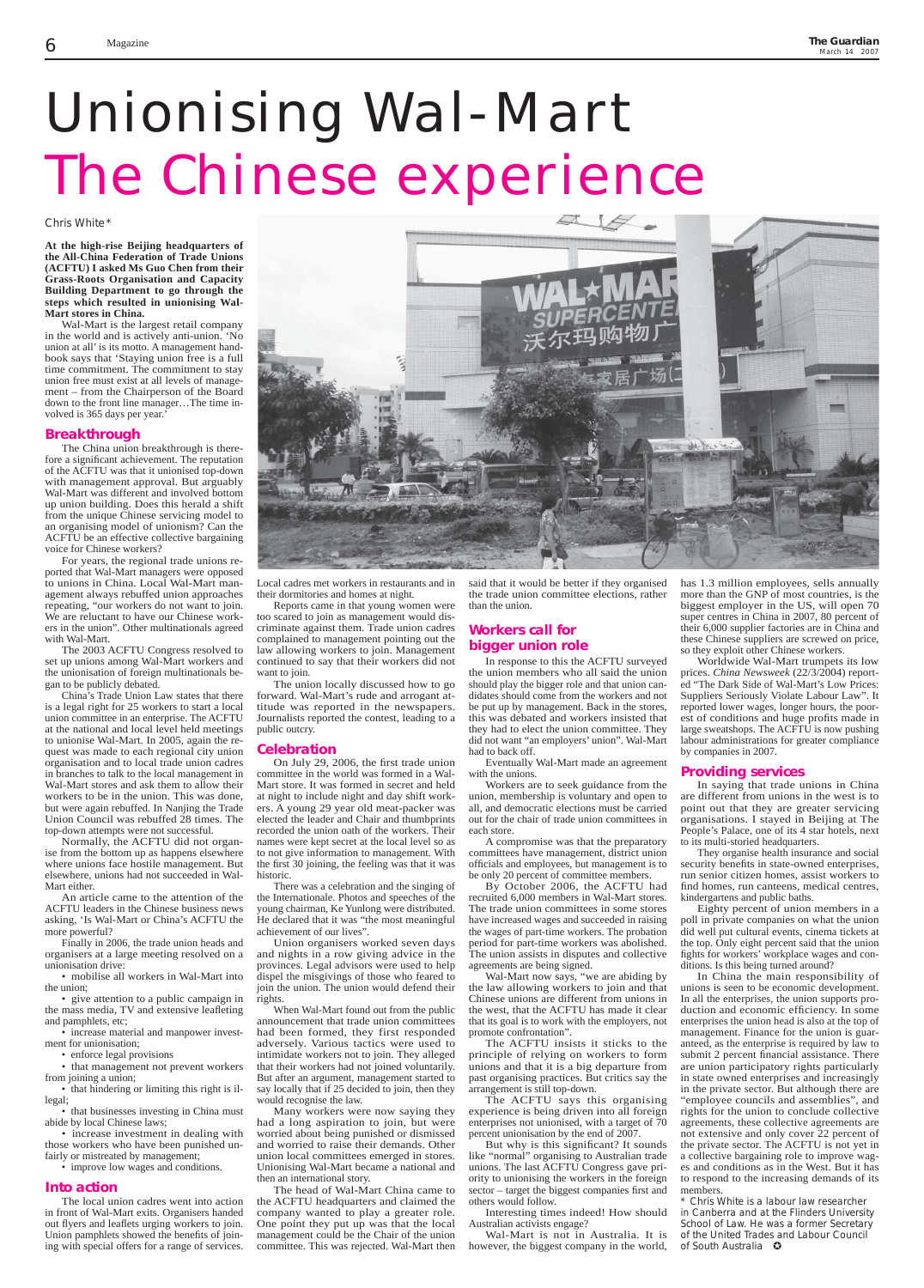## Unionising Wal-Mart The Chinese experience

Chris White \*

**At the high-rise Beijing headquarters of the All-China Federation of Trade Unions (ACFTU) I asked Ms Guo Chen from their Grass-Roots Organisation and Capacity Building Department to go through the steps which resulted in unionising Wal-Mart stores in China.**

Wal-Mart is the largest retail company in the world and is actively anti-union. 'No union at all' is its motto. A management handbook says that 'Staying union free is a full time commitment. The commitment to stay union free must exist at all levels of management – from the Chairperson of the Board down to the front line manager…The time involved is 365 days per year.'

#### **Breakthrough**

The China union breakthrough is therefore a significant achievement. The reputation of the ACFTU was that it unionised top-down with management approval. But arguably Wal-Mart was different and involved bottom up union building. Does this herald a shift from the unique Chinese servicing model to an organising model of unionism? Can the ACFTU be an effective collective bargaining voice for Chinese workers?

For years, the regional trade unions reported that Wal-Mart managers were opposed to unions in China. Local Wal-Mart management always rebuffed union approaches repeating, "our workers do not want to join. We are reluctant to have our Chinese workers in the union". Other multinationals agreed with Wal-Mart.

• that management not prevent workers from joining a union;

The 2003 ACFTU Congress resolved to set up unions among Wal-Mart workers and the unionisation of foreign multinationals began to be publicly debated.

China's Trade Union Law states that there is a legal right for 25 workers to start a local union committee in an enterprise. The ACFTU at the national and local level held meetings to unionise Wal-Mart. In 2005, again the request was made to each regional city union organisation and to local trade union cadres in branches to talk to the local management in Wal-Mart stores and ask them to allow their workers to be in the union. This was done, but were again rebuffed. In Nanjing the Trade Union Council was rebuffed 28 times. The top-down attempts were not successful.

On July 29, 2006, the first trade union committee in the world was formed in a Wal-Mart store. It was formed in secret and held at night to include night and day shift workers. A young 29 year old meat-packer was elected the leader and Chair and thumbprints recorded the union oath of the workers. Their names were kept secret at the local level so as to not give information to management. With the first 30 joining, the feeling was that it was historic.

Normally, the ACFTU did not organise from the bottom up as happens elsewhere where unions face hostile management. But elsewhere, unions had not succeeded in Wal-Mart either.

An article came to the attention of the ACFTU leaders in the Chinese business news asking, 'Is Wal-Mart or China's ACFTU the more powerful?

Finally in 2006, the trade union heads and organisers at a large meeting resolved on a unionisation drive:

• mobilise all workers in Wal-Mart into the union;

• give attention to a public campaign in mass media, TV and extensive leafleting and pamphlets, etc;

• increase material and manpower investment for unionisation;

• enforce legal provisions

• that hindering or limiting this right is illegal;

• that businesses investing in China must abide by local Chinese laws;

• increase investment in dealing with those workers who have been punished unfairly or mistreated by management;

• improve low wages and conditions.

#### **Into action**

The local union cadres went into action in front of Wal-Mart exits. Organisers handed out flyers and leaflets urging workers to join. Union pamphlets showed the benefits of joining with special offers for a range of services.

Local cadres met workers in restaurants and in their dormitories and homes at night.

Reports came in that young women were too scared to join as management would discriminate against them. Trade union cadres complained to management pointing out the law allowing workers to join. Management continued to say that their workers did not want to join.

The union locally discussed how to go forward. Wal-Mart's rude and arrogant attitude was reported in the newspapers. Journalists reported the contest, leading to a public outcry.

> But why is this significant? It sounds like "normal" organising to Australian trade unions. The last ACFTU Congress gave priority to unionising the workers in the foreign sector – target the biggest companies first and others would follow.

#### **Celebration**

There was a celebration and the singing of the Internationale. Photos and speeches of the young chairman, Ke Yunlong were distributed. He declared that it was "the most meaningful achievement of our lives".

> In China the main responsibility of unions is seen to be economic development. In all the enterprises, the union supports production and economic efficiency. In some enterprises the union head is also at the top of management. Finance for the union is guaranteed, as the enterprise is required by law to submit 2 percent financial assistance. There are union participatory rights particularly in state owned enterprises and increasingly in the private sector. But although there are "employee councils and assemblies", and rights for the union to conclude collective agreements, these collective agreements are not extensive and only cover 22 percent of the private sector. The ACFTU is not yet in a collective bargaining role to improve wages and conditions as in the West. But it has to respond to the increasing demands of its members. Chris White is a labour law researcher in Canberra and at the Flinders University School of Law. He was a former Secretary of the United Trades and Labour Council of South Australia ©



Union organisers worked seven days and nights in a row giving advice in the provinces. Legal advisors were used to help dispel the misgivings of those who feared to join the union. The union would defend their rights.

When Wal-Mart found out from the public announcement that trade union committees had been formed, they first responded adversely. Various tactics were used to intimidate workers not to join. They alleged that their workers had not joined voluntarily. But after an argument, management started to say locally that if 25 decided to join, then they would recognise the law.

Many workers were now saying they had a long aspiration to join, but were worried about being punished or dismissed and worried to raise their demands. Other union local committees emerged in stores. Unionising Wal-Mart became a national and then an international story.

The head of Wal-Mart China came to the ACFTU headquarters and claimed the company wanted to play a greater role. One point they put up was that the local management could be the Chair of the union committee. This was rejected. Wal-Mart then said that it would be better if they organised the trade union committee elections, rather than the union.

#### **Workers call for bigger union role**

In response to this the ACFTU surveyed the union members who all said the union should play the bigger role and that union candidates should come from the workers and not be put up by management. Back in the stores, this was debated and workers insisted that they had to elect the union committee. They did not want "an employers' union". Wal-Mart had to back off.

Eventually Wal-Mart made an agreement with the unions.

Workers are to seek guidance from the union, membership is voluntary and open to all, and democratic elections must be carried out for the chair of trade union committees in each store.

A compromise was that the preparatory committees have management, district union officials and employees, but management is to be only 20 percent of committee members.

By October 2006, the ACFTU had recruited 6,000 members in Wal-Mart stores. The trade union committees in some stores have increased wages and succeeded in raising the wages of part-time workers. The probation period for part-time workers was abolished. The union assists in disputes and collective agreements are being signed.

Wal-Mart now says, "we are abiding by the law allowing workers to join and that Chinese unions are different from unions in the west, that the ACFTU has made it clear that its goal is to work with the employers, not promote confrontation".

The ACFTU insists it sticks to the principle of relying on workers to form unions and that it is a big departure from past organising practices. But critics say the arrangement is still top-down.

The ACFTU says this organising experience is being driven into all foreign enterprises not unionised, with a target of 70 percent unionisation by the end of 2007.

Interesting times indeed! How should Australian activists engage?

Wal-Mart is not in Australia. It is however, the biggest company in the world, has 1.3 million employees, sells annually more than the GNP of most countries, is the biggest employer in the US, will open 70 super centres in China in 2007, 80 percent of their 6,000 supplier factories are in China and these Chinese suppliers are screwed on price, so they exploit other Chinese workers.

Worldwide Wal-Mart trumpets its low prices. *China Newsweek* (22/3/2004) reported "The Dark Side of Wal-Mart's Low Prices: Suppliers Seriously Violate Labour Law". It reported lower wages, longer hours, the poorest of conditions and huge profits made in large sweatshops. The ACFTU is now pushing labour administrations for greater compliance by companies in 2007.

#### **Providing services**

In saying that trade unions in China are different from unions in the west is to point out that they are greater servicing organisations. I stayed in Beijing at The People's Palace, one of its 4 star hotels, next to its multi-storied headquarters.

They organise health insurance and social security benefits in state-owned enterprises, run senior citizen homes, assist workers to find homes, run canteens, medical centres, kindergartens and public baths.

Eighty percent of union members in a poll in private companies on what the union did well put cultural events, cinema tickets at the top. Only eight percent said that the union fights for workers' workplace wages and conditions. Is this being turned around?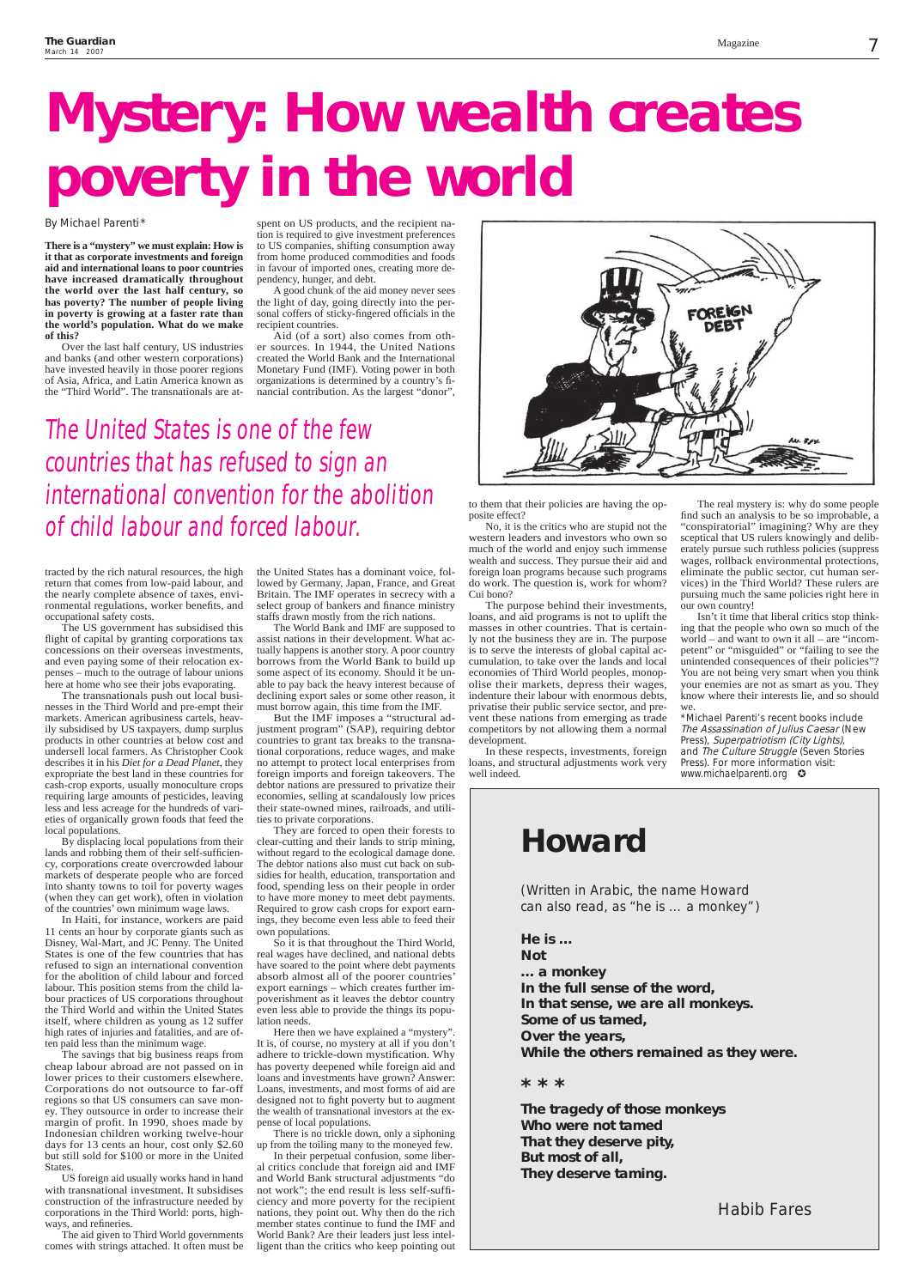## **Mystery: How wealth creates poverty in the world**

#### By Michael Parenti \*

**There is a "mystery" we must explain: How is it that as corporate investments and foreign aid and international loans to poor countries have increased dramatically throughout the world over the last half century, so has poverty? The number of people living in poverty is growing at a faster rate than the world's population. What do we make of this?** 

Over the last half century, US industries and banks (and other western corporations) have invested heavily in those poorer regions of Asia, Africa, and Latin America known as the "Third World". The transnationals are at-

tracted by the rich natural resources, the high return that comes from low-paid labour, and the nearly complete absence of taxes, environmental regulations, worker benefits, and occupational safety costs.

The US government has subsidised this flight of capital by granting corporations tax concessions on their overseas investments, and even paying some of their relocation expenses – much to the outrage of labour unions here at home who see their jobs evaporating.

The transnationals push out local businesses in the Third World and pre-empt their markets. American agribusiness cartels, heavily subsidised by US taxpayers, dump surplus products in other countries at below cost and undersell local farmers. As Christopher Cook describes it in his *Diet for a Dead Planet*, they expropriate the best land in these countries for cash-crop exports, usually monoculture crops requiring large amounts of pesticides, leaving less and less acreage for the hundreds of varieties of organically grown foods that feed the local populations.

By displacing local populations from their lands and robbing them of their self-sufficiency, corporations create overcrowded labour markets of desperate people who are forced into shanty towns to toil for poverty wages (when they can get work), often in violation of the countries' own minimum wage laws.

In Haiti, for instance, workers are paid 11 cents an hour by corporate giants such as Disney, Wal-Mart, and JC Penny. The United States is one of the few countries that has refused to sign an international convention for the abolition of child labour and forced labour. This position stems from the child labour practices of US corporations throughout the Third World and within the United States itself, where children as young as 12 suffer high rates of injuries and fatalities, and are often paid less than the minimum wage. The savings that big business reaps from cheap labour abroad are not passed on in lower prices to their customers elsewhere. Corporations do not outsource to far-off regions so that US consumers can save money. They outsource in order to increase their margin of profit. In 1990, shoes made by Indonesian children working twelve-hour days for 13 cents an hour, cost only \$2.60 but still sold for \$100 or more in the United States. US foreign aid usually works hand in hand with transnational investment. It subsidises construction of the infrastructure needed by corporations in the Third World: ports, highways, and refineries. The aid given to Third World governments comes with strings attached. It often must be

There is no trickle down, only a siphoning up from the toiling many to the moneyed few. In their perpetual confusion, some liberal critics conclude that foreign aid and IMF and World Bank structural adjustments "do not work"; the end result is less self-sufficiency and more poverty for the recipient nations, they point out. Why then do the rich member states continue to fund the IMF and World Bank? Are their leaders just less intelligent than the critics who keep pointing out

spent on US products, and the recipient nation is required to give investment preferences to US companies, shifting consumption away from home produced commodities and foods in favour of imported ones, creating more dependency, hunger, and debt.

A good chunk of the aid money never sees the light of day, going directly into the personal coffers of sticky-fingered officials in the recipient countries.

Aid (of a sort) also comes from other sources. In 1944, the United Nations created the World Bank and the International Monetary Fund (IMF). Voting power in both organizations is determined by a country's financial contribution. As the largest "donor",

the United States has a dominant voice, followed by Germany, Japan, France, and Great Britain. The IMF operates in secrecy with a select group of bankers and finance ministry staffs drawn mostly from the rich nations.

> \* Michael Parenti's recent books include The Assassination of Julius Caesar (New Press), Superpatriotism (City Lights), and The Culture Struggle (Seven Stories Press). For more information visit: www.michaelparenti.org  $\bullet$

The World Bank and IMF are supposed to assist nations in their development. What actually happens is another story. A poor country borrows from the World Bank to build up some aspect of its economy. Should it be unable to pay back the heavy interest because of declining export sales or some other reason, it must borrow again, this time from the IMF.

But the IMF imposes a "structural adjustment program" (SAP), requiring debtor countries to grant tax breaks to the transnational corporations, reduce wages, and make no attempt to protect local enterprises from foreign imports and foreign takeovers. The debtor nations are pressured to privatize their economies, selling at scandalously low prices their state-owned mines, railroads, and utilities to private corporations.

They are forced to open their forests to clear-cutting and their lands to strip mining, without regard to the ecological damage done. The debtor nations also must cut back on subsidies for health, education, transportation and food, spending less on their people in order to have more money to meet debt payments. Required to grow cash crops for export earnings, they become even less able to feed their own populations.

So it is that throughout the Third World, real wages have declined, and national debts have soared to the point where debt payments absorb almost all of the poorer countries' export earnings – which creates further impoverishment as it leaves the debtor country even less able to provide the things its popu-



lation needs.

Here then we have explained a "mystery". It is, of course, no mystery at all if you don't adhere to trickle-down mystification. Why has poverty deepened while foreign aid and loans and investments have grown? Answer: Loans, investments, and most forms of aid are designed not to fight poverty but to augment the wealth of transnational investors at the expense of local populations.

to them that their policies are having the opposite effect?

No, it is the critics who are stupid not the western leaders and investors who own so much of the world and enjoy such immense wealth and success. They pursue their aid and foreign loan programs because such programs do work. The question is, work for whom? Cui bono?

The purpose behind their investments, loans, and aid programs is not to uplift the masses in other countries. That is certainly not the business they are in. The purpose is to serve the interests of global capital accumulation, to take over the lands and local economies of Third World peoples, monopolise their markets, depress their wages, indenture their labour with enormous debts, privatise their public service sector, and prevent these nations from emerging as trade competitors by not allowing them a normal development.

In these respects, investments, foreign loans, and structural adjustments work very well indeed.

The real mystery is: why do some people find such an analysis to be so improbable, a "conspiratorial" imagining? Why are they sceptical that US rulers knowingly and deliberately pursue such ruthless policies (suppress wages, rollback environmental protections, eliminate the public sector, cut human services) in the Third World? These rulers are pursuing much the same policies right here in

our own country!

Isn't it time that liberal critics stop thinking that the people who own so much of the world – and want to own it all – are "incompetent" or "misguided" or "failing to see the unintended consequences of their policies"? You are not being very smart when you think your enemies are not as smart as you. They know where their interests lie, and so should

we.

### *Howard*

( Written in Arabic, the name Howard can also read, as "he is … a monkey" )

**He is … Not … a monkey In the full sense of the word, In that sense, we are all monkeys.**

**Some of us tamed, Over the years, While the others remained as they were.**

**\* \* \***

**The tragedy of those monkeys Who were not tamed That they deserve pity, But most of all, They deserve taming.**

#### Habib Fares

### **The United States is one of the few countries that has refused to sign an international convention for the abolition of child labour and forced labour.**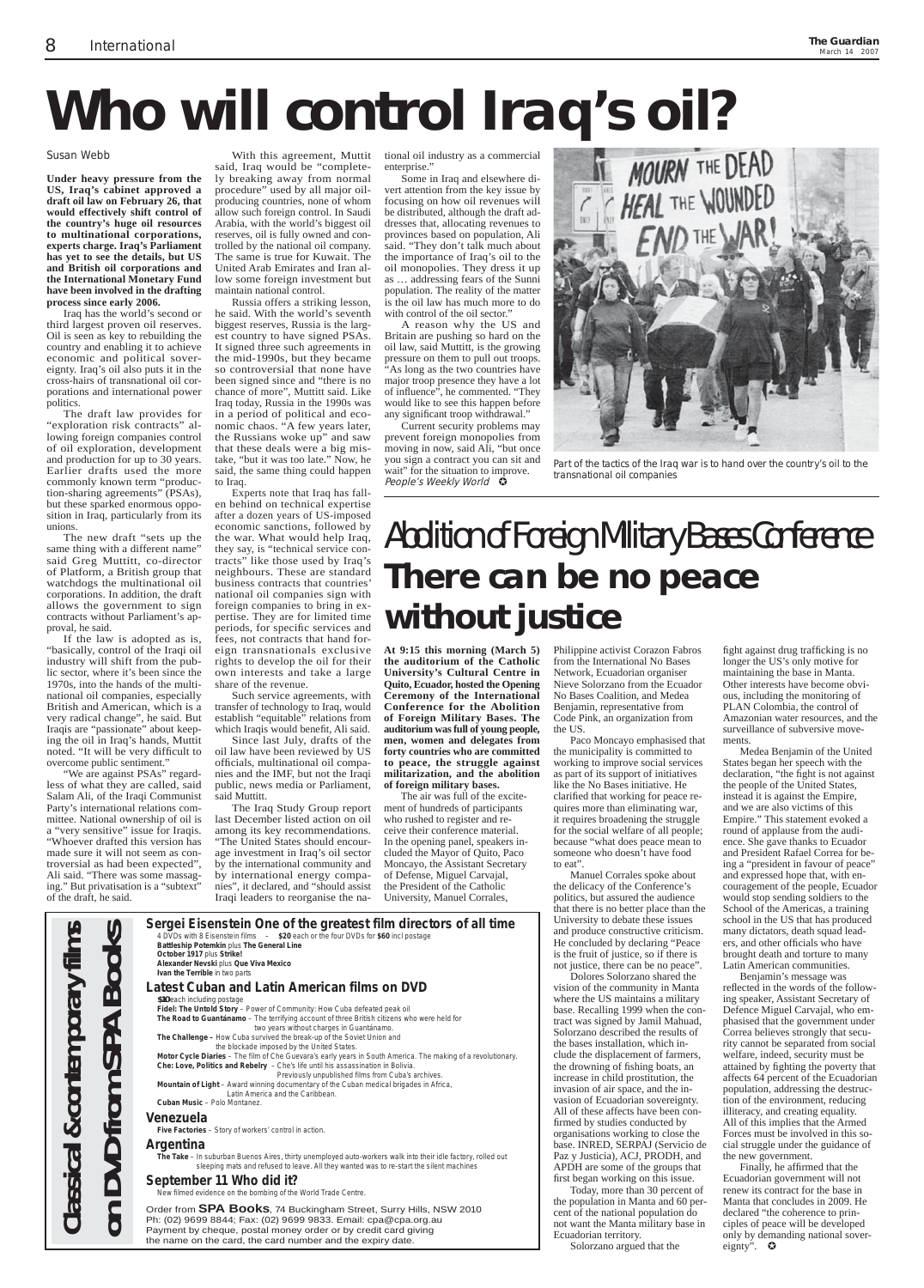Susan Webb

**Under heavy pressure from the US, Iraq's cabinet approved a draft oil law on February 26, that would effectively shift control of the country's huge oil resources to multinational corporations, experts charge. Iraq's Parliament has yet to see the details, but US and British oil corporations and the International Monetary Fund have been involved in the drafting process since early 2006.**

Iraq has the world's second or third largest proven oil reserves. Oil is seen as key to rebuilding the country and enabling it to achieve economic and political sovereignty. Iraq's oil also puts it in the cross-hairs of transnational oil corporations and international power politics.

The draft law provides for "exploration risk contracts" allowing foreign companies control of oil exploration, development and production for up to 30 years. Earlier drafts used the more commonly known term "production-sharing agreements" (PSAs), but these sparked enormous opposition in Iraq, particularly from its unions.

The new draft "sets up the same thing with a different name" said Greg Muttitt, co-director of Platform, a British group that watchdogs the multinational oil corporations. In addition, the draft allows the government to sign contracts without Parliament's approval, he said.

If the law is adopted as is, "basically, control of the Iraqi oil industry will shift from the public sector, where it's been since the 1970s, into the hands of the multinational oil companies, especially British and American, which is a very radical change", he said. But Iraqis are "passionate" about keeping the oil in Iraq's hands, Muttit noted. "It will be very difficult to overcome public sentiment."

Such service agreements, with transfer of technology to Iraq, would establish "equitable" relations from which Iraqis would benefit, Ali said.

Since last July, drafts of the oil law have been reviewed by US officials, multinational oil companies and the IMF, but not the Iraqi public, news media or Parliament, said Muttitt.

"We are against PSAs" regardless of what they are called, said Salam Ali, of the Iraqi Communist Party's international relations committee. National ownership of oil is a "very sensitive" issue for Iraqis. "Whoever drafted this version has made sure it will not seem as controversial as had been expected", Ali said. "There was some massaging." But privatisation is a "subtext" of the draft, he said.

With this agreement, Muttit said, Iraq would be "completely breaking away from normal procedure" used by all major oilproducing countries, none of whom allow such foreign control. In Saudi Arabia, with the world's biggest oil reserves, oil is fully owned and controlled by the national oil company. The same is true for Kuwait. The United Arab Emirates and Iran allow some foreign investment but maintain national control.

> A reason why the US and Britain are pushing so hard on the oil law, said Muttitt, is the growing pressure on them to pull out troops. "As long as the two countries have major troop presence they have a lot of influence", he commented. "They would like to see this happen before any significant troop withdrawal."

Current security problems may prevent foreign monopolies from moving in now, said Ali, "but once you sign a contract you can sit and wait" for the situation to improve. People's Weekly World  $\bullet$ 

Russia offers a striking lesson, he said. With the world's seventh biggest reserves, Russia is the largest country to have signed PSAs. It signed three such agreements in the mid-1990s, but they became so controversial that none have been signed since and "there is no chance of more", Muttitt said. Like Iraq today, Russia in the 1990s was in a period of political and economic chaos. "A few years later, the Russians woke up" and saw that these deals were a big mistake, "but it was too late." Now, he said, the same thing could happen to Iraq.

Experts note that Iraq has fallen behind on technical expertise after a dozen years of US-imposed economic sanctions, followed by the war. What would help Iraq, they say, is "technical service contracts" like those used by Iraq's neighbours. These are standard business contracts that countries' national oil companies sign with foreign companies to bring in expertise. They are for limited time periods, for specific services and fees, not contracts that hand foreign transnationals exclusive rights to develop the oil for their own interests and take a large share of the revenue.

The Iraq Study Group report last December listed action on oil among its key recommendations. "The United States should encourage investment in Iraq's oil sector by the international community and by international energy companies", it declared, and "should assist Iraqi leaders to reorganise the national oil industry as a commercial enterprise."

> Benjamin's message was reflected in the words of the following speaker, Assistant Secretary of Defence Miguel Carvajal, who emphasised that the government under Correa believes strongly that security cannot be separated from social welfare, indeed, security must be attained by fighting the poverty that affects 64 percent of the Ecuadorian population, addressing the destruction of the environment, reducing illiteracy, and creating equality. All of this implies that the Armed Forces must be involved in this social struggle under the guidance of the new government. Finally, he affirmed that the Ecuadorian government will not renew its contract for the base in Manta that concludes in 2009. He declared "the coherence to principles of peace will be developed only by demanding national sovereignty".  $\bullet$

Some in Iraq and elsewhere divert attention from the key issue by focusing on how oil revenues will be distributed, although the draft addresses that, allocating revenues to provinces based on population, Ali said. "They don't talk much about the importance of Iraq's oil to the oil monopolies. They dress it up as … addressing fears of the Sunni population. The reality of the matter is the oil law has much more to do with control of the oil sector."



Part of the tactics of the Iraq war is to hand over the country's oil to the transnational oil companies

## **Who will control Iraq's oil?**

### Abolition of Foreign Military Bases Conference **There can be no peace without justice**

**At 9:15 this morning (March 5) the auditorium of the Catholic University's Cultural Centre in Quito, Ecuador, hosted the Opening Ceremony of the International Conference for the Abolition of Foreign Military Bases. The auditorium was full of young people, men, women and delegates from forty countries who are committed to peace, the struggle against militarization, and the abolition of foreign military bases.**

The air was full of the excitement of hundreds of participants who rushed to register and receive their conference material. In the opening panel, speakers included the Mayor of Quito, Paco Moncayo, the Assistant Secretary of Defense, Miguel Carvajal, the President of the Catholic University, Manuel Corrales,

Philippine activist Corazon Fabros from the International No Bases Network, Ecuadorian organiser Nieve Solorzano from the Ecuador No Bases Coalition, and Medea Benjamin, representative from Code Pink, an organization from the US.

Paco Moncayo emphasised that the municipality is committed to working to improve social services as part of its support of initiatives like the No Bases initiative. He clarified that working for peace requires more than eliminating war, it requires broadening the struggle for the social welfare of all people; because "what does peace mean to someone who doesn't have food to eat".

Manuel Corrales spoke about the delicacy of the Conference's politics, but assured the audience that there is no better place than the University to debate these issues and produce constructive criticism. He concluded by declaring "Peace is the fruit of justice, so if there is not justice, there can be no peace".

Dolores Solorzano shared the vision of the community in Manta where the US maintains a military base. Recalling 1999 when the contract was signed by Jamil Mahuad, Solorzano described the results of the bases installation, which include the displacement of farmers, the drowning of fishing boats, an increase in child prostitution, the invasion of air space, and the invasion of Ecuadorian sovereignty. All of these affects have been confirmed by studies conducted by organisations working to close the base. INRED, SERPAJ (Servicio de Paz y Justicia), ACJ, PRODH, and APDH are some of the groups that first began working on this issue. Today, more than 30 percent of the population in Manta and 60 percent of the national population do not want the Manta military base in Ecuadorian territory.

fight against drug trafficking is no longer the US's only motive for maintaining the base in Manta. Other interests have become obvious, including the monitoring of PLAN Colombia, the control of Amazonian water resources, and the surveillance of subversive movements

Solorzano argued that the

Medea Benjamin of the United States began her speech with the declaration, "the fight is not against the people of the United States, instead it is against the Empire, and we are also victims of this Empire." This statement evoked a round of applause from the audience. She gave thanks to Ecuador and President Rafael Correa for being a "president in favour of peace" and expressed hope that, with encouragement of the people, Ecuador would stop sending soldiers to the School of the Americas, a training school in the US that has produced many dictators, death squad leaders, and other officials who have brought death and torture to many Latin American communities.

**Sergei Eisenstein One of the greatest film directors of all time** 4 DVDs with 8 Eisenstein films – **\$20** each or the four DVDs for **\$60** incl postage *Battleship Potemkin* plus *The General Line October 1917* plus *Strike! Alexander Nevski* plus *Que Viva Mexico Ivan the Terrible* in two parts **Latest Cuban and Latin American films on DVD \$10** each including postage *Fidel: The Untold Story* – Power of Community: How Cuba defeated peak oil *The Road to Guantánamo* – The terrifying account of three British citizens who were held for two years without charges in Guantánamo. *The Challenge –* How Cuba survived the break-up of the Soviet Union and the blockade imposed by the United States. *Motor Cycle Diaries* – The film of Che Guevara's early years in South America. The making of a revolutionary. *Che: Love, Politics and Rebelry* – Che's life until his assassination in Bolivia. Previously unpublished films from Cuba's archives. *Mountain of Light* – Award winning documentary of the Cuban medical brigades in Africa, Latin America and the Caribbean. *Cuban Music* – Polo Montanez. **SPA Books**

#### **Venezuela**

*Five Factories* – Story of workers' control in action.

#### **Argentina**

*The Take* – In suburban Buenos Aires, thirty unemployed auto-workers walk into their idle factory, rolled out sleeping mats and refused to leave. All they wanted was to re-start the silent machines

#### *September 11 Who did it?*

New filmed evidence on the bombing of the World Trade Centre.

Order from **SPA Books**, 74 Buckingham Street, Surry Hills, NSW 2010 Ph: (02) 9699 8844; Fax: (02) 9699 9833. Email: cpa@cpa.org.au Payment by cheque, postal money order or by credit card giving the name on the card, the card number and the expiry date.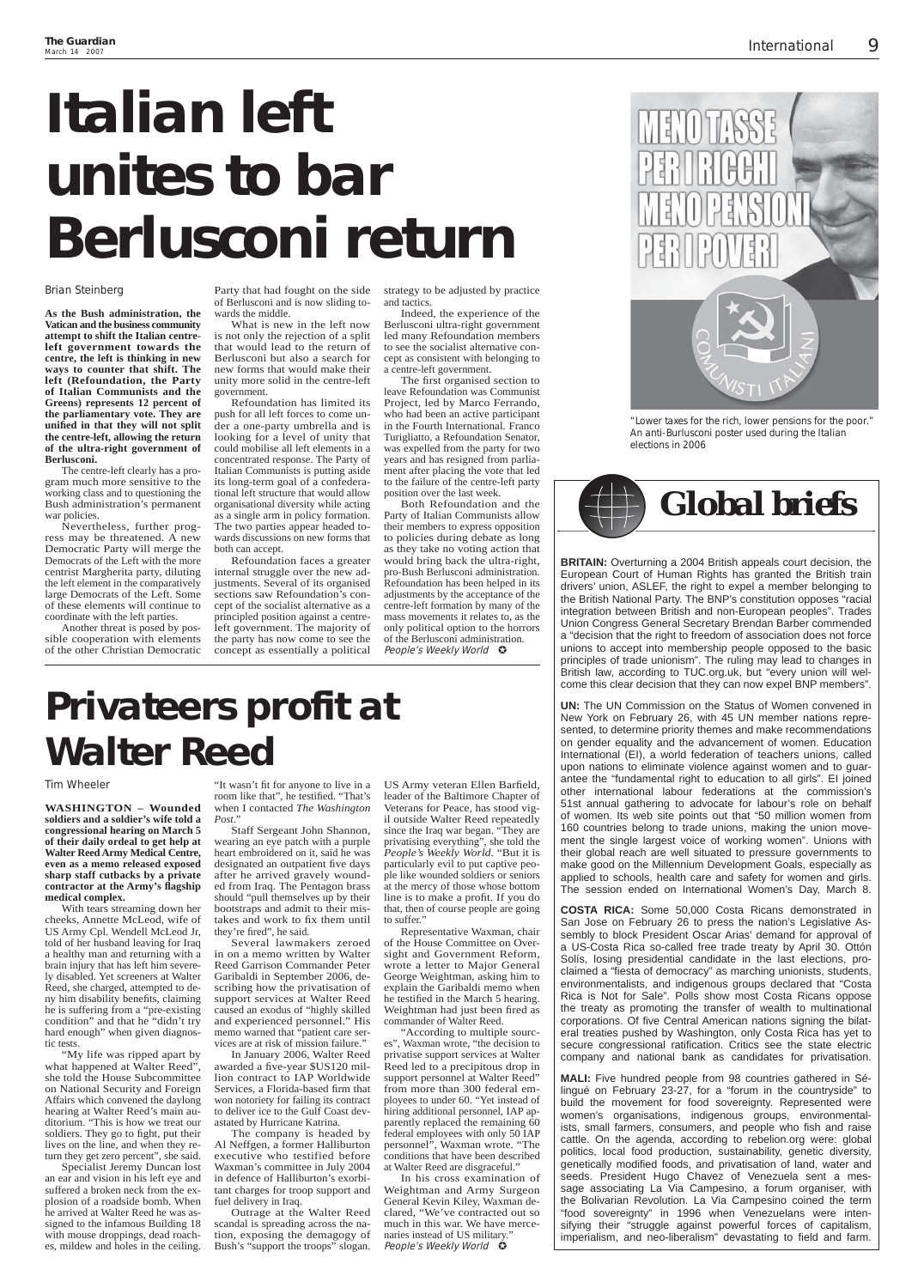#### Brian Steinberg

**As the Bush administration, the Vatican and the business community attempt to shift the Italian centreleft government towards the centre, the left is thinking in new ways to counter that shift. The left (Refoundation, the Party of Italian Communists and the Greens) represents 12 percent of the parliamentary vote. They are unifi ed in that they will not split the centre-left, allowing the return of the ultra-right government of Berlusconi.**

The centre-left clearly has a program much more sensitive to the working class and to questioning the Bush administration's permanent war policies.

Nevertheless, further progress may be threatened. A new Democratic Party will merge the Democrats of the Left with the more centrist Margherita party, diluting the left element in the comparatively large Democrats of the Left. Some of these elements will continue to coordinate with the left parties.

Another threat is posed by possible cooperation with elements of the other Christian Democratic Party that had fought on the side of Berlusconi and is now sliding towards the middle.

What is new in the left now is not only the rejection of a split that would lead to the return of Berlusconi but also a search for new forms that would make their unity more solid in the centre-left government.

The first organised section to leave Refoundation was Communist Project, led by Marco Ferrando, who had been an active participant in the Fourth International. Franco Turigliatto, a Refoundation Senator, was expelled from the party for two years and has resigned from parliament after placing the vote that led to the failure of the centre-left party position over the last week.

Both Refoundation and the Party of Italian Communists allow their members to express opposition to policies during debate as long as they take no voting action that would bring back the ultra-right, pro-Bush Berlusconi administration. Refoundation has been helped in its adjustments by the acceptance of the centre-left formation by many of the mass movements it relates to, as the only political option to the horrors of the Berlusconi administration. People's Weekly World  $\circledast$ 

Refoundation has limited its push for all left forces to come under a one-party umbrella and is looking for a level of unity that could mobilise all left elements in a concentrated response. The Party of Italian Communists is putting aside its long-term goal of a confederational left structure that would allow organisational diversity while acting as a single arm in policy formation. The two parties appear headed towards discussions on new forms that both can accept.

Refoundation faces a greater internal struggle over the new adjustments. Several of its organised sections saw Refoundation's concept of the socialist alternative as a principled position against a centreleft government. The majority of the party has now come to see the concept as essentially a political

strategy to be adjusted by practice and tactics.

Indeed, the experience of the Berlusconi ultra-right government led many Refoundation members to see the socialist alternative concept as consistent with belonging to a centre-left government.

> **MALI:** Five hundred people from 98 countries gathered in Sélingué on February 23-27, for a "forum in the countryside" to build the movement for food sovereignty. Represented were women's organisations, indigenous groups, environmentalists, small farmers, consumers, and people who fish and raise cattle. On the agenda, according to rebelion.org were: global politics, local food production, sustainability, genetic diversity, genetically modified foods, and privatisation of land, water and seeds. President Hugo Chavez of Venezuela sent a message associating La Via Campesino, a forum organiser, with the Bolivarian Revolution. La Via Campesino coined the term "food sovereignty" in 1996 when Venezuelans were intensifying their "struggle against powerful forces of capitalism, imperialism, and neo-liberalism" devastating to field and farm.

> **BRITAIN:** Overturning a 2004 British appeals court decision, the European Court of Human Rights has granted the British train drivers' union, ASLEF, the right to expel a member belonging to the British National Party. The BNP's constitution opposes "racial integration between British and non-European peoples". Trades Union Congress General Secretary Brendan Barber commended a "decision that the right to freedom of association does not force unions to accept into membership people opposed to the basic principles of trade unionism". The ruling may lead to changes in British law, according to TUC.org.uk, but "every union will welcome this clear decision that they can now expel BNP members".

"It wasn't fit for anyone to live in a room like that", he testified. "That's when I contacted *The Washington Post*."

Staff Sergeant John Shannon, wearing an eye patch with a purple heart embroidered on it, said he was designated an outpatient five days after he arrived gravely wounded from Iraq. The Pentagon brass should "pull themselves up by their bootstraps and admit to their mistakes and work to fix them until they're fired", he said.

**UN:** The UN Commission on the Status of Women convened in New York on February 26, with 45 UN member nations represented, to determine priority themes and make recommendations on gender equality and the advancement of women. Education International (EI), a world federation of teachers unions, called upon nations to eliminate violence against women and to guarantee the "fundamental right to education to all girls". EI joined other international labour federations at the commission's 51st annual gathering to advocate for labour's role on behalf of women. Its web site points out that "50 million women from 160 countries belong to trade unions, making the union movement the single largest voice of working women". Unions with their global reach are well situated to pressure governments to make good on the Millennium Development Goals, especially as applied to schools, health care and safety for women and girls. The session ended on International Women's Day, March 8.

US Army veteran Ellen Barfield, leader of the Baltimore Chapter of Veterans for Peace, has stood vigil outside Walter Reed repeatedly since the Iraq war began. "They are privatising everything", she told the *People's Weekly World*. "But it is particularly evil to put captive people like wounded soldiers or seniors at the mercy of those whose bottom line is to make a profit. If you do that, then of course people are going to suffer."

Representative Waxman, chair of the House Committee on Oversight and Government Reform, wrote a letter to Major General George Weightman, asking him to explain the Garibaldi memo when he testified in the March 5 hearing. Weightman had just been fired as commander of Walter Reed. "According to multiple sources", Waxman wrote, "the decision to privatise support services at Walter Reed led to a precipitous drop in support personnel at Walter Reed" from more than 300 federal employees to under 60. "Yet instead of hiring additional personnel, IAP apparently replaced the remaining 60 federal employees with only 50 IAP personnel", Waxman wrote. "The conditions that have been described at Walter Reed are disgraceful." In his cross examination of Weightman and Army Surgeon General Kevin Kiley, Waxman declared, "We've contracted out so much in this war. We have mercenaries instead of US military." People's Weekly World  $\bullet$ 

**COSTA RICA:** Some 50,000 Costa Ricans demonstrated in San Jose on February 26 to press the nation's Legislative Assembly to block President Oscar Arias' demand for approval of a US-Costa Rica so-called free trade treaty by April 30. Ottón Solís, losing presidential candidate in the last elections, proclaimed a "fiesta of democracy" as marching unionists, students, environmentalists, and indigenous groups declared that "Costa Rica is Not for Sale". Polls show most Costa Ricans oppose the treaty as promoting the transfer of wealth to multinational corporations. Of five Central American nations signing the bilateral treaties pushed by Washington, only Costa Rica has yet to secure congressional ratification. Critics see the state electric company and national bank as candidates for privatisation.





"Lower taxes for the rich, lower pensions for the poor." An anti-Burlusconi poster used during the Italian elections in 2006

## **Italian left unites to bar Berlusconi return**

### **Privateers profit at Walter Reed**

#### Tim Wheeler

**WASHINGTON – Wounded soldiers and a soldier's wife told a congressional hearing on March 5 of their daily ordeal to get help at Walter Reed Army Medical Centre, even as a memo released exposed sharp staff cutbacks by a private contractor at the Army's fl agship medical complex.**

With tears streaming down her cheeks, Annette McLeod, wife of US Army Cpl. Wendell McLeod Jr, told of her husband leaving for Iraq a healthy man and returning with a brain injury that has left him severely disabled. Yet screeners at Walter Reed, she charged, attempted to deny him disability benefits, claiming he is suffering from a "pre-existing condition" and that he "didn't try hard enough" when given diagnostic tests. "My life was ripped apart by what happened at Walter Reed", she told the House Subcommittee on National Security and Foreign Affairs which convened the daylong hearing at Walter Reed's main auditorium. "This is how we treat our soldiers. They go to fight, put their lives on the line, and when they return they get zero percent", she said. Specialist Jeremy Duncan lost an ear and vision in his left eye and suffered a broken neck from the explosion of a roadside bomb. When he arrived at Walter Reed he was assigned to the infamous Building 18 with mouse droppings, dead roaches, mildew and holes in the ceiling.

Several lawmakers zeroed in on a memo written by Walter Reed Garrison Commander Peter Garibaldi in September 2006, describing how the privatisation of support services at Walter Reed caused an exodus of "highly skilled and experienced personnel." His memo warned that "patient care services are at risk of mission failure." In January 2006, Walter Reed awarded a five-year \$US120 million contract to IAP Worldwide Services, a Florida-based firm that won notoriety for failing its contract to deliver ice to the Gulf Coast devastated by Hurricane Katrina. The company is headed by Al Neffgen, a former Halliburton executive who testified before Waxman's committee in July 2004 in defence of Halliburton's exorbitant charges for troop support and fuel delivery in Iraq.

Outrage at the Walter Reed scandal is spreading across the nation, exposing the demagogy of Bush's "support the troops" slogan.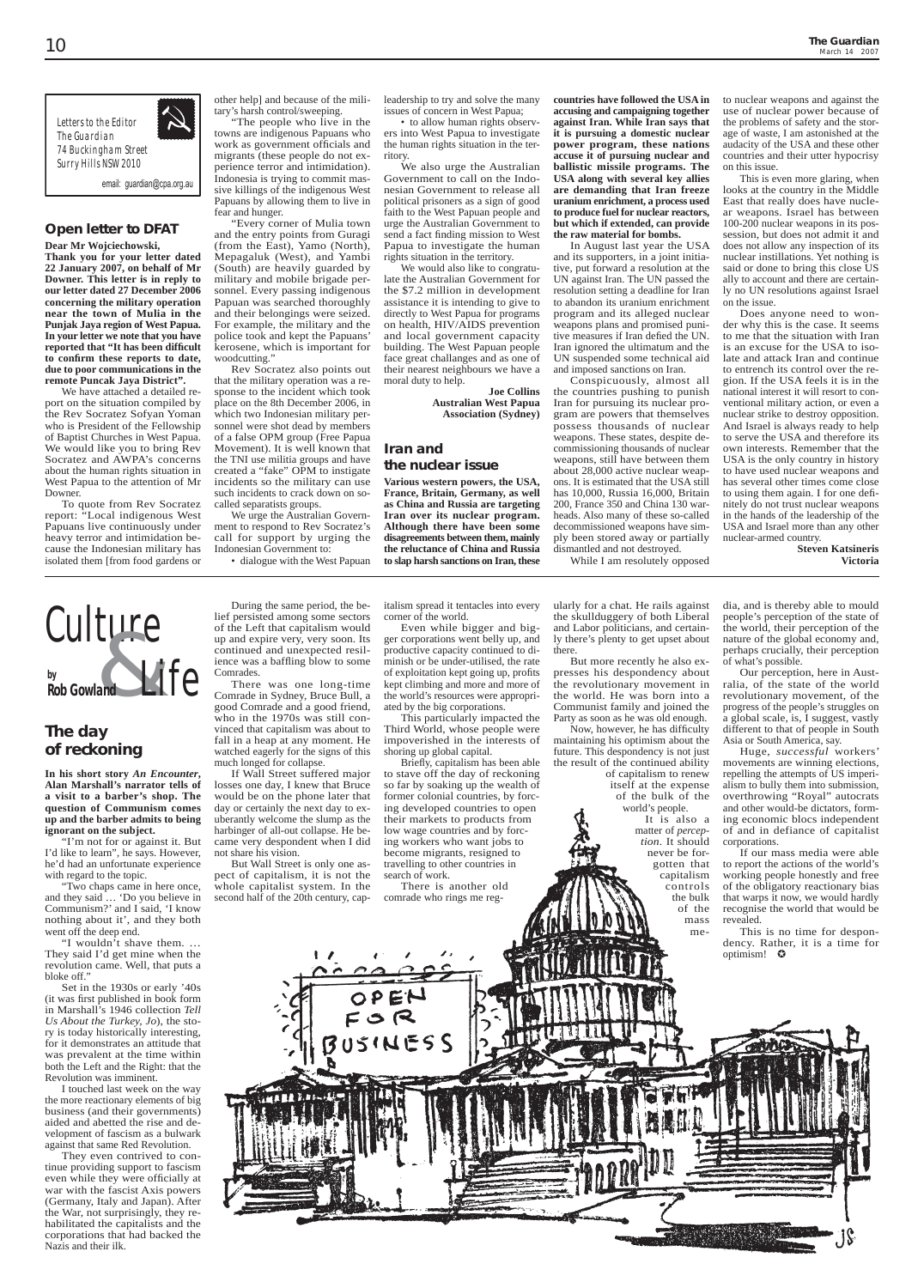

*The Guardian 74 Buckingham Street Surry Hills NSW 2010*

email: guardian@cpa.org.au

#### **Open letter to DFAT**

**Dear Mr Wojciechowski, Thank you for your letter dated 22 January 2007, on behalf of Mr** 

**Downer. This letter is in reply to our letter dated 27 December 2006 concerning the military operation near the town of Mulia in the Punjak Jaya region of West Papua. In your letter we note that you have reported that "It has been diffi cult to confi rm these reports to date, due to poor communications in the remote Puncak Jaya District".**

"Every corner of Mulia town and the entry points from Guragi (from the East), Yamo (North), Mepagaluk (West), and Yambi (South) are heavily guarded by military and mobile brigade personnel. Every passing indigenous Papuan was searched thoroughly and their belongings were seized. For example, the military and the police took and kept the Papuans' kerosene, which is important for woodcutting."

We have attached a detailed report on the situation compiled by the Rev Socratez Sofyan Yoman who is President of the Fellowship of Baptist Churches in West Papua. We would like you to bring Rev Socratez and AWPA's concerns about the human rights situation in West Papua to the attention of Mr Downer.

To quote from Rev Socratez report: "Local indigenous West Papuans live continuously under heavy terror and intimidation because the Indonesian military has isolated them [from food gardens or

other help] and because of the military's harsh control/sweeping.

"The people who live in the towns are indigenous Papuans who work as government officials and migrants (these people do not experience terror and intimidation). Indonesia is trying to commit massive killings of the indigenous West Papuans by allowing them to live in fear and hunger.

Rev Socratez also points out that the military operation was a response to the incident which took place on the 8th December 2006, in which two Indonesian military personnel were shot dead by members of a false OPM group (Free Papua Movement). It is well known that the TNI use militia groups and have created a "fake" OPM to instigate incidents so the military can use such incidents to crack down on socalled separatists groups.

We urge the Australian Government to respond to Rev Socratez's call for support by urging the Indonesian Government to:

• dialogue with the West Papuan

leadership to try and solve the many issues of concern in West Papua;

• to allow human rights observers into West Papua to investigate the human rights situation in the territory.

We also urge the Australian Government to call on the Indonesian Government to release all political prisoners as a sign of good faith to the West Papuan people and urge the Australian Government to send a fact finding mission to West Papua to investigate the human rights situation in the territory.

We would also like to congratulate the Australian Government for the \$7.2 million in development assistance it is intending to give to directly to West Papua for programs on health, HIV/AIDS prevention and local government capacity building. The West Papuan people face great challanges and as one of their nearest neighbours we have a moral duty to help.

**Joe Collins Australian West Papua Association (Sydney)**

#### **Iran and the nuclear issue**

**Various western powers, the USA, France, Britain, Germany, as well as China and Russia are targeting Iran over its nuclear program. Although there have been some disagreements between them, mainly the reluctance of China and Russia to slap harsh sanctions on Iran, these** 

**countries have followed the USA in accusing and campaigning together against Iran. While Iran says that it is pursuing a domestic nuclear power program, these nations accuse it of pursuing nuclear and ballistic missile programs. The USA along with several key allies are demanding that Iran freeze uranium enrichment, a process used to produce fuel for nuclear reactors, but which if extended, can provide the raw material for bombs.**

But Wall Street is only one aspect of capitalism, it is not the whole capitalist system. In the second half of the 20th century, cap-

In August last year the USA and its supporters, in a joint initiative, put forward a resolution at the UN against Iran. The UN passed the resolution setting a deadline for Iran to abandon its uranium enrichment program and its alleged nuclear weapons plans and promised punitive measures if Iran defied the UN. Iran ignored the ultimatum and the UN suspended some technical aid and imposed sanctions on Iran.

Briefly, capitalism has been able to stave off the day of reckoning so far by soaking up the wealth of former colonial countries, by forcing developed countries to open their markets to products from low wage countries and by forcing workers who want jobs to become migrants, resigned to travelling to other countries in search of work.

Conspicuously, almost all the countries pushing to punish Iran for pursuing its nuclear program are powers that themselves possess thousands of nuclear weapons. These states, despite decommissioning thousands of nuclear weapons, still have between them about 28,000 active nuclear weapons. It is estimated that the USA still has 10,000, Russia 16,000, Britain 200, France 350 and China 130 warheads. Also many of these so-called decommissioned weapons have simply been stored away or partially dismantled and not destroyed.

Now, however, he has difficulty maintaining his optimism about the future. This despondency is not just the result of the continued ability of capitalism to renew

to nuclear weapons and against the use of nuclear power because of the problems of safety and the storage of waste, I am astonished at the audacity of the USA and these other countries and their utter hypocrisy on this issue.

This is even more glaring, when looks at the country in the Middle East that really does have nuclear weapons. Israel has between 100-200 nuclear weapons in its possession, but does not admit it and does not allow any inspection of its nuclear instillations. Yet nothing is said or done to bring this close US ally to account and there are certainly no UN resolutions against Israel on the issue.

**Culture**<br>**Bob Cowland Life** *Rob Gowland*

Does anyone need to wonder why this is the case. It seems to me that the situation with Iran is an excuse for the USA to isolate and attack Iran and continue to entrench its control over the region. If the USA feels it is in the national interest it will resort to conventional military action, or even a nuclear strike to destroy opposition. And Israel is always ready to help to serve the USA and therefore its own interests. Remember that the USA is the only country in history to have used nuclear weapons and has several other times come close to using them again. I for one definitely do not trust nuclear weapons in the hands of the leadership of the USA and Israel more than any other nuclear-armed country.

**Steven Katsineris Victoria**

While I am resolutely opposed

#### **The day of reckoning**

**In his short story** *An Encounter***, Alan Marshall's narrator tells of a visit to a barber's shop. The question of Communism comes up and the barber admits to being ignorant on the subject.**

"I'm not for or against it. But I'd like to learn", he says. However, he'd had an unfortunate experience with regard to the topic.

"Two chaps came in here once, and they said … 'Do you believe in Communism?' and I said, 'I know nothing about it', and they both went off the deep end.

"I wouldn't shave them. … They said I'd get mine when the revolution came. Well, that puts a bloke off."

Set in the 1930s or early '40s (it was first published in book form in Marshall's 1946 collection *Tell Us About the Turkey, Jo*), the story is today historically interesting, for it demonstrates an attitude that was prevalent at the time within both the Left and the Right: that the Revolution was imminent. I touched last week on the way the more reactionary elements of big business (and their governments) aided and abetted the rise and development of fascism as a bulwark against that same Red Revolution. They even contrived to continue providing support to fascism even while they were officially at war with the fascist Axis powers (Germany, Italy and Japan). After the War, not surprisingly, they rehabilitated the capitalists and the corporations that had backed the Nazis and their ilk.

During the same period, the belief persisted among some sectors of the Left that capitalism would up and expire very, very soon. Its continued and unexpected resilience was a baffling blow to some Comrades.

There was one long-time Comrade in Sydney, Bruce Bull, a good Comrade and a good friend, who in the 1970s was still convinced that capitalism was about to fall in a heap at any moment. He watched eagerly for the signs of this much longed for collapse.

If Wall Street suffered major losses one day, I knew that Bruce would be on the phone later that day or certainly the next day to exuberantly welcome the slump as the harbinger of all-out collapse. He became very despondent when I did not share his vision.

italism spread it tentacles into every corner of the world.

Even while bigger and bigger corporations went belly up, and productive capacity continued to diminish or be under-utilised, the rate of exploitation kept going up, profits kept climbing and more and more of the world's resources were appropriated by the big corporations.

This particularly impacted the Third World, whose people were impoverished in the interests of shoring up global capital.

There is another old comrade who rings me regularly for a chat. He rails against the skullduggery of both Liberal and Labor politicians, and certainly there's plenty to get upset about there.

But more recently he also expresses his despondency about the revolutionary movement in the world. He was born into a Communist family and joined the Party as soon as he was old enough.

> itself at the expense of the bulk of the world's people.

It is also a matter of *perception*. It should never be forgotten that capitalism controls the bulk

> of the mass me-

dia, and is thereby able to mould people's perception of the state of the world, their perception of the nature of the global economy and, perhaps crucially, their perception of what's possible.

Our perception, here in Australia, of the state of the world revolutionary movement, of the progress of the people's struggles on a global scale, is, I suggest, vastly different to that of people in South Asia or South America, say.

Huge, *successful* workers' movements are winning elections, repelling the attempts of US imperialism to bully them into submission, overthrowing "Royal" autocrats and other would-be dictators, forming economic blocs independent of and in defiance of capitalist corporations.

If our mass media were able to report the actions of the world's working people honestly and free of the obligatory reactionary bias that warps it now, we would hardly recognise the world that would be revealed.

This is no time for despondency. Rather, it is a time for optimism!

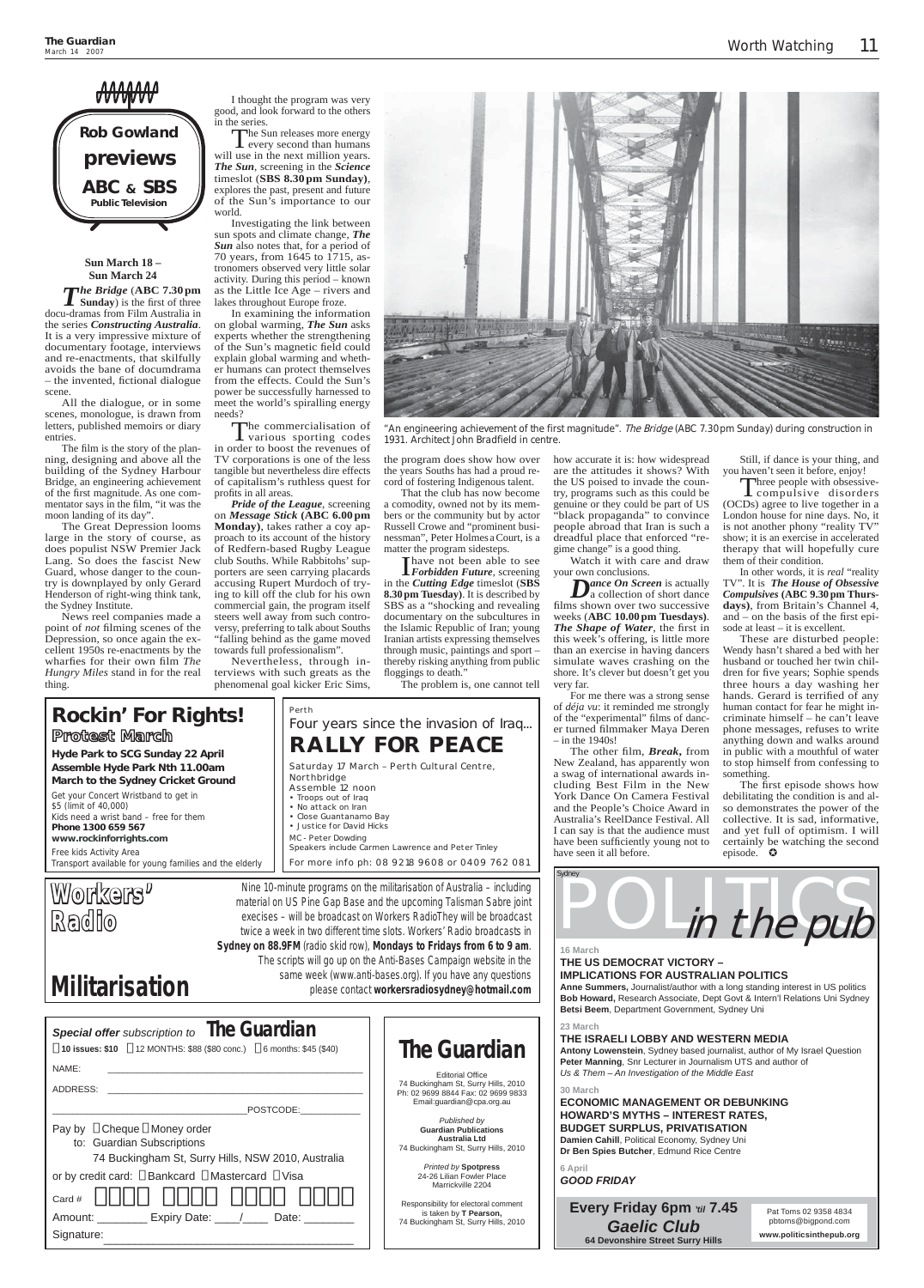#### **Sun March 18 – Sun March 24**

*The Bridge* (ABC 7.30 pm Sunday) is the first of three docu-dramas from Film Australia in the series *Constructing Australia*. It is a very impressive mixture of documentary footage, interviews and re-enactments, that skilfully avoids the bane of documdrama  $-$  the invented, fictional dialogue scene.

The film is the story of the planning, designing and above all the building of the Sydney Harbour Bridge, an engineering achievement of the first magnitude. As one commentator says in the film, "it was the moon landing of its day".

All the dialogue, or in some scenes, monologue, is drawn from letters, published memoirs or diary entries.

The Sun releases more energy<br>every second than humans will use in the next million years. *The Sun*, screening in the *Science* timeslot (**SBS 8.30 pm Sunday)**, explores the past, present and future of the Sun's importance to our world.

The Great Depression looms large in the story of course, as does populist NSW Premier Jack Lang. So does the fascist New Guard, whose danger to the country is downplayed by only Gerard Henderson of right-wing think tank, the Sydney Institute.

The commercialisation of various sporting codes in order to boost the revenues of TV corporations is one of the less tangible but nevertheless dire effects of capitalism's ruthless quest for profits in all areas.

News reel companies made a point of *not* filming scenes of the Depression, so once again the excellent 1950s re-enactments by the wharfies for their own film The *Hungry Miles* stand in for the real thing.

I thought the program was very good, and look forward to the others in the series.

> That the club has now become a comodity, owned not by its members or the community but by actor Russell Crowe and "prominent businessman", Peter Holmes a Court, is a matter the program sidesteps.<br>Thave not been able to see

> I have not been able to see *Forbidden Future*, screening in the *Cutting Edge* timeslot (**SBS 8.30 pm Tuesday)**. It is described by SBS as a "shocking and revealing documentary on the subcultures in the Islamic Republic of Iran; young Iranian artists expressing themselves through music, paintings and sport – thereby risking anything from public floggings to death."

Investigating the link between sun spots and climate change, *The Sun* also notes that, for a period of 70 years, from 1645 to 1715, astronomers observed very little solar activity. During this period – known as the Little Ice Age – rivers and lakes throughout Europe froze.

In examining the information on global warming, *The Sun* asks experts whether the strengthening of the Sun's magnetic field could explain global warming and whether humans can protect themselves from the effects. Could the Sun's power be successfully harnessed to meet the world's spiralling energy needs?

> *Dance On Screen* is actually a collection of short dance films shown over two successive weeks (**ABC 10.00 pm Tuesdays)**. **The Shape of Water**, the first in this week's offering, is little more than an exercise in having dancers simulate waves crashing on the shore. It's clever but doesn't get you very far.

> The other film, **Break**, from New Zealand, has apparently won a swag of international awards including Best Film in the New York Dance On Camera Festival and the People's Choice Award in Australia's ReelDance Festival. All I can say is that the audience must have been sufficiently young not to have seen it all before.

Three people with obsessive-<br>compulsive disorders (OCDs) agree to live together in a London house for nine days. No, it is not another phony "reality TV" show; it is an exercise in accelerated therapy that will hopefully cure them of their condition.

*Pride of the League*, screening on *Message Stick* **(ABC 6.00 pm Monday)**, takes rather a coy approach to its account of the history of Redfern-based Rugby League club Souths. While Rabbitohs' supporters are seen carrying placards accusing Rupert Murdoch of trying to kill off the club for his own commercial gain, the program itself steers well away from such controversy, preferring to talk about Souths "falling behind as the game moved towards full professionalism".

Nevertheless, through interviews with such greats as the phenomenal goal kicker Eric Sims,

the program does show how over the years Souths has had a proud record of fostering Indigenous talent.

"An engineering achievement of the first magnitude". The Bridge (ABC 7.30 pm Sunday) during construction in 1931. Architect John Bradfield in centre.

**Editorial Office** 74 Buckingham St, Surry Hills, 2010 Ph: 02 9699 8844 Fax: 02 9699 9833 Email:guardian@cpa.org.au

The problem is, one cannot tell

how accurate it is: how widespread are the attitudes it shows? With the US poised to invade the country, programs such as this could be genuine or they could be part of US "black propaganda" to convince people abroad that Iran is such a dreadful place that enforced "regime change" is a good thing.

Watch it with care and draw your own conclusions.

For me there was a strong sense of *déja vu*: it reminded me strongly of the "experimental" films of dancer turned filmmaker Maya Deren – in the 1940s!

Still, if dance is your thing, and you haven't seen it before, enjoy!

In other words, it is *real* "reality TV". It is *The House of Obsessive Compulsives* **(ABC 9.30 pm Thursdays)**, from Britain's Channel 4, and  $-$  on the basis of the first episode at least – it is excellent.

These are disturbed people: Wendy hasn't shared a bed with her husband or touched her twin children for five years; Sophie spends three hours a day washing her hands. Gerard is terrified of any human contact for fear he might incriminate himself – he can't leave phone messages, refuses to write anything down and walks around in public with a mouthful of water to stop himself from confessing to something.

The first episode shows how debilitating the condition is and also demonstrates the power of the collective. It is sad, informative, and yet full of optimism. I will certainly be watching the second episode.  $\bullet$ 

*The Guardian*

*Published by* **Guardian Publications Australia Ltd** 74 Buckingham St, Surry Hills, 2010

> *Printed by* **Spotpress** 24-26 Lilian Fowler Place Marrickville 2204

Responsibility for electoral comment is taken by **T Pearson,** 74 Buckingham St, Surry Hills, 2010

| Special offer subscription to The Guardian<br>$\Box$ 10 issues: \$10 $\Box$ 12 MONTHS: \$88 (\$80 conc.) $\Box$ 6 months: \$45 (\$40) |                                                   |
|---------------------------------------------------------------------------------------------------------------------------------------|---------------------------------------------------|
| NAMF:                                                                                                                                 |                                                   |
| ADDRESS:                                                                                                                              |                                                   |
|                                                                                                                                       | POSTCODE:                                         |
| Pay by $\Box$ Cheque $\Box$ Money order<br>to: Guardian Subscriptions<br>74 Buckingham St, Surry Hills, NSW 2010, Australia           |                                                   |
|                                                                                                                                       | or by credit card: □ Bankcard □ Mastercard □ Visa |
| Card # $\Box$                                                                                                                         | $\mathsf{H} \mathsf{H}$                           |
|                                                                                                                                       | Amount: Expiry Date: // Date:                     |
| Signature:                                                                                                                            |                                                   |

#### **THE US DEMOCRAT VICTORY –**

**IMPLICATIONS FOR AUSTRALIAN POLITICS**

**Anne Summers,** Journalist/author with a long standing interest in US politics **Bob Howard,** Research Associate, Dept Govt & Intern'l Relations Uni Sydney **Betsi Beem**, Department Government, Sydney Uni

#### **23 March**

#### **THE ISRAELI LOBBY AND WESTERN MEDIA**



**Antony Lowenstein**, Sydney based journalist, author of My Israel Question **Peter Manning**, Snr Lecturer in Journalism UTS and author of *Us & Them – An Investigation of the Middle East*

#### **30 March**

#### **ECONOMIC MANAGEMENT OR DEBUNKING HOWARD'S MYTHS – INTEREST RATES, BUDGET SURPLUS, PRIVATISATION Damien Cahill**, Political Economy, Sydney Uni **Dr Ben Spies Butcher**, Edmund Rice Centre

#### **6 April** *GOOD FRIDAY*

**Every Friday 6pm '***til* **7.45** *Gaelic Club* **64 Devonshire Street Surry Hills**

Pat Toms 02 9358 4834 pbtoms@bigpond.com

**www.politicsinthepub.org**

**Militarisation**

Nine 10-minute programs on the militarisation of Australia – including material on US Pine Gap Base and the upcoming Talisman Sabre joint execises – will be broadcast on Workers RadioThey will be broadcast twice a week in two different time slots. Workers' Radio broadcasts in **Sydney on 88.9FM** (radio skid row), **Mondays to Fridays from 6 to 9 am**. The scripts will go up on the Anti-Bases Campaign website in the same week (www.anti-bases.org). If you have any questions please contact **workersradiosydney@hotmail.com**





**Rockin' For Rights!**

**Protest March**

**Hyde Park to SCG Sunday 22 April Assemble Hyde Park Nth 11.00am** Perth

*Four years since the invasion of Iraq...*

**RALLY FOR PEACE** Saturday 17 March – Perth Cultural Centre,

Northbridge Assemble 12 noon • Troops out of Iraq • No attack on Iran • Close Guantanamo Bay • Justice for David Hicks MC - Peter Dowding



Speakers include Carmen Lawrence and Peter Tinley For more info ph: 08 9218 9608 or 0409 762 081